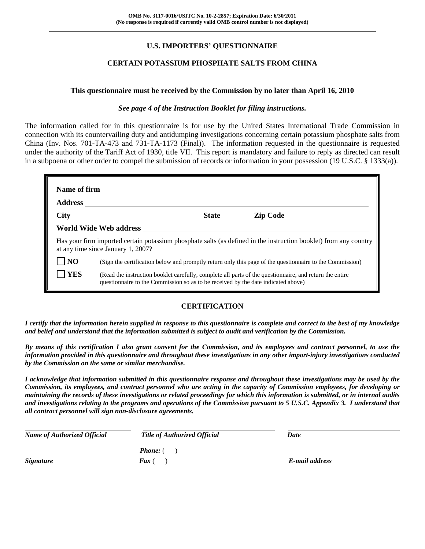# **U.S. IMPORTERS' QUESTIONNAIRE**

#### **CERTAIN POTASSIUM PHOSPHATE SALTS FROM CHINA**

#### **This questionnaire must be received by the Commission by no later than April 16, 2010**

#### *See page 4 of the Instruction Booklet for filing instructions.*

The information called for in this questionnaire is for use by the United States International Trade Commission in connection with its countervailing duty and antidumping investigations concerning certain potassium phosphate salts from China (Inv. Nos. 701-TA-473 and 731-TA-1173 (Final)). The information requested in the questionnaire is requested under the authority of the Tariff Act of 1930, title VII. This report is mandatory and failure to reply as directed can result in a subpoena or other order to compel the submission of records or information in your possession (19 U.S.C. § 1333(a)).

|                | at any time since January 1, 2007?                                                                                                                                                                                                                                                                       |  | Has your firm imported certain potassium phosphate salts (as defined in the instruction booklet) from any country |  |  |  |  |
|----------------|----------------------------------------------------------------------------------------------------------------------------------------------------------------------------------------------------------------------------------------------------------------------------------------------------------|--|-------------------------------------------------------------------------------------------------------------------|--|--|--|--|
| N <sub>O</sub> |                                                                                                                                                                                                                                                                                                          |  |                                                                                                                   |  |  |  |  |
| <b>YES</b>     | (Sign the certification below and promptly return only this page of the questionnaire to the Commission)<br>(Read the instruction booklet carefully, complete all parts of the questionnaire, and return the entire<br>questionnaire to the Commission so as to be received by the date indicated above) |  |                                                                                                                   |  |  |  |  |

#### **CERTIFICATION**

*I certify that the information herein supplied in response to this questionnaire is complete and correct to the best of my knowledge and belief and understand that the information submitted is subject to audit and verification by the Commission.* 

*By means of this certification I also grant consent for the Commission, and its employees and contract personnel, to use the information provided in this questionnaire and throughout these investigations in any other import-injury investigations conducted by the Commission on the same or similar merchandise.* 

*I acknowledge that information submitted in this questionnaire response and throughout these investigations may be used by the Commission, its employees, and contract personnel who are acting in the capacity of Commission employees, for developing or maintaining the records of these investigations or related proceedings for which this information is submitted, or in internal audits and investigations relating to the programs and operations of the Commission pursuant to 5 U.S.C. Appendix 3. I understand that all contract personnel will sign non-disclosure agreements.* 

| <b>Name of Authorized Official</b> | <b>Title of Authorized Official</b> | Date           |
|------------------------------------|-------------------------------------|----------------|
|                                    | <b>Phone:</b> (                     |                |
| <b>Signature</b>                   | <b>Fax</b> (                        | E-mail address |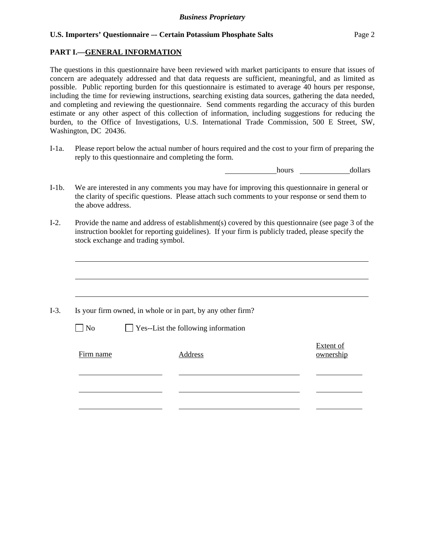# **PART I.—GENERAL INFORMATION**

The questions in this questionnaire have been reviewed with market participants to ensure that issues of concern are adequately addressed and that data requests are sufficient, meaningful, and as limited as possible. Public reporting burden for this questionnaire is estimated to average 40 hours per response, including the time for reviewing instructions, searching existing data sources, gathering the data needed, and completing and reviewing the questionnaire. Send comments regarding the accuracy of this burden estimate or any other aspect of this collection of information, including suggestions for reducing the burden, to the Office of Investigations, U.S. International Trade Commission, 500 E Street, SW, Washington, DC 20436.

I-1a. Please report below the actual number of hours required and the cost to your firm of preparing the reply to this questionnaire and completing the form.

hours **dollars** 

- I-1b. We are interested in any comments you may have for improving this questionnaire in general or the clarity of specific questions. Please attach such comments to your response or send them to the above address.
- I-2. Provide the name and address of establishment(s) covered by this questionnaire (see page 3 of the instruction booklet for reporting guidelines). If your firm is publicly traded, please specify the stock exchange and trading symbol.

|           | Is your firm owned, in whole or in part, by any other firm? |                        |
|-----------|-------------------------------------------------------------|------------------------|
| $\Box$ No | $\Box$ Yes--List the following information                  |                        |
| Firm name | Address                                                     | Extent of<br>ownership |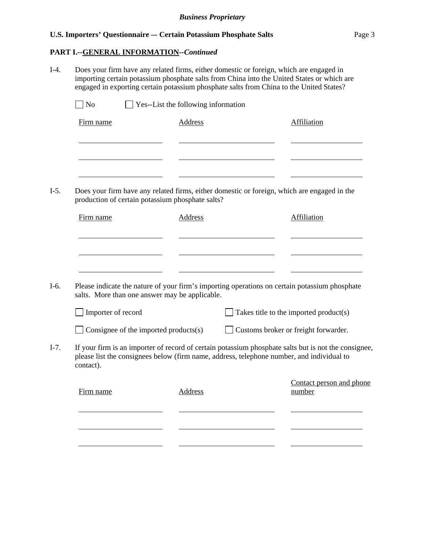I-4. Does your firm have any related firms, either domestic or foreign, which are engaged in

# **U.S. Importers' Questionnaire -- Certain Potassium Phosphate Salts** Page 3

# **PART I.--GENERAL INFORMATION***--Continued*

l

l

importing certain potassium phosphate salts from China into the United States or which are engaged in exporting certain potassium phosphate salts from China to the United States?  $\Box$  No  $\Box$  Yes--List the following information Firm name Address Address Affiliation l <u>and the state of the state of the state of the state of the state of the state of the state of the state of the state of the state of the state of the state of the state of the state of the state of the state of the state</u> l l <u> The Communication of the Communication</u> I-5. Does your firm have any related firms, either domestic or foreign, which are engaged in the production of certain potassium phosphate salts? Firm name Address Affiliation l l l I-6. Please indicate the nature of your firm's importing operations on certain potassium phosphate salts. More than one answer may be applicable.  $\Box$  Importer of record  $\Box$  Takes title to the imported product(s) Consignee of the imported products(s) Customs broker or freight forwarder. I-7. If your firm is an importer of record of certain potassium phosphate salts but is not the consignee, please list the consignees below (firm name, address, telephone number, and individual to contact). Contact person and phone Firm name Address number l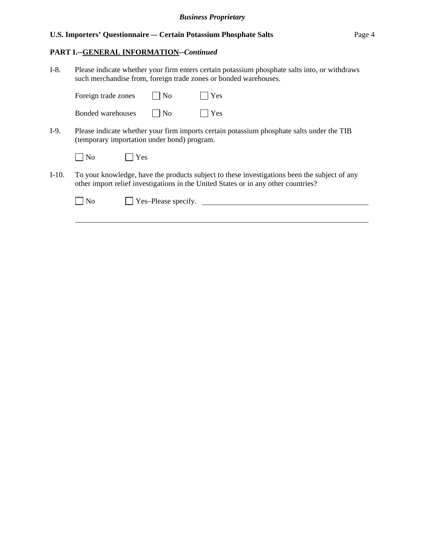# **PART I.--GENERAL INFORMATION***--Continued*

 $\overline{a}$ 

I-8. Please indicate whether your firm enters certain potassium phosphate salts into, or withdraws such merchandise from, foreign trade zones or bonded warehouses.

|       | Foreign trade zones                         | N <sub>o</sub>      | Yes                                                                                                                                                                                |
|-------|---------------------------------------------|---------------------|------------------------------------------------------------------------------------------------------------------------------------------------------------------------------------|
|       | Bonded warehouses                           | N <sub>0</sub>      | Yes                                                                                                                                                                                |
| I-9.  | (temporary importation under bond) program. |                     | Please indicate whether your firm imports certain potassium phosphate salts under the TIB                                                                                          |
|       | N <sub>0</sub><br>Yes                       |                     |                                                                                                                                                                                    |
| I-10. |                                             |                     | To your knowledge, have the products subject to these investigations been the subject of any<br>other import relief investigations in the United States or in any other countries? |
|       | N <sub>0</sub>                              | Yes-Please specify. |                                                                                                                                                                                    |
|       |                                             |                     |                                                                                                                                                                                    |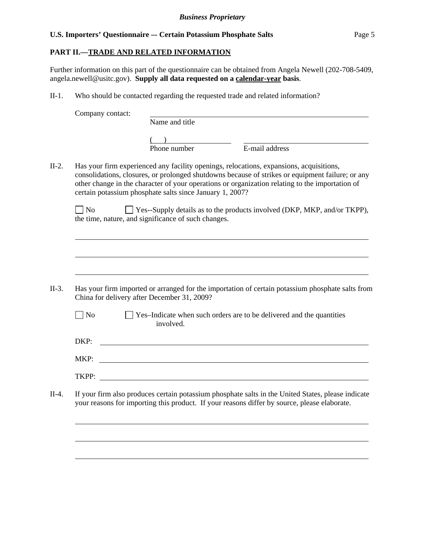### **PART II.—TRADE AND RELATED INFORMATION**

Further information on this part of the questionnaire can be obtained from Angela Newell (202-708-5409, angela.newell@usitc.gov). **Supply all data requested on a calendar-year basis**.

II-1. Who should be contacted regarding the requested trade and related information?

Company contact:

 $\overline{a}$ 

 $\overline{a}$ 

 $\overline{a}$ 

 $\overline{a}$ 

 $\overline{a}$ 

 $\overline{a}$ 

Name and title

 $($ 

Phone number E-mail address

II-2. Has your firm experienced any facility openings, relocations, expansions, acquisitions, consolidations, closures, or prolonged shutdowns because of strikes or equipment failure; or any other change in the character of your operations or organization relating to the importation of certain potassium phosphate salts since January 1, 2007?

 $\Box$  No  $\Box$  Yes--Supply details as to the products involved (DKP, MKP, and/or TKPP), the time, nature, and significance of such changes.

- II-3. Has your firm imported or arranged for the importation of certain potassium phosphate salts from China for delivery after December 31, 2009?
	- No See-Indicate when such orders are to be delivered and the quantities involved.

| DKP:  |  |
|-------|--|
| MKP:  |  |
| TKPP: |  |

II-4. If your firm also produces certain potassium phosphate salts in the United States, please indicate your reasons for importing this product. If your reasons differ by source, please elaborate.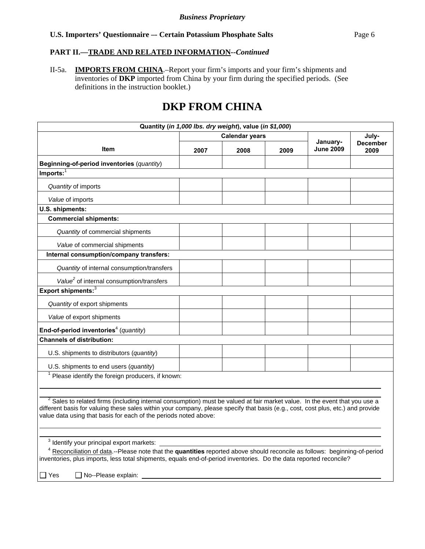# **PART II.—TRADE AND RELATED INFORMATION***--Continued*

II-5a. **IMPORTS FROM CHINA**.–Report your firm's imports and your firm's shipments and inventories of **DKP** imported from China by your firm during the specified periods. (See definitions in the instruction booklet.)

# **DKP FROM CHINA**

| Quantity (in 1,000 lbs. dry weight), value (in \$1,000)                                                                                                                                                                                                                                                                              |      |                       |      |                              |                         |
|--------------------------------------------------------------------------------------------------------------------------------------------------------------------------------------------------------------------------------------------------------------------------------------------------------------------------------------|------|-----------------------|------|------------------------------|-------------------------|
|                                                                                                                                                                                                                                                                                                                                      |      | <b>Calendar years</b> |      |                              | July-                   |
| <b>Item</b>                                                                                                                                                                                                                                                                                                                          | 2007 | 2008                  | 2009 | January-<br><b>June 2009</b> | <b>December</b><br>2009 |
| Beginning-of-period inventories (quantity)                                                                                                                                                                                                                                                                                           |      |                       |      |                              |                         |
| $Imports:$ <sup>1</sup>                                                                                                                                                                                                                                                                                                              |      |                       |      |                              |                         |
| Quantity of imports                                                                                                                                                                                                                                                                                                                  |      |                       |      |                              |                         |
| Value of imports                                                                                                                                                                                                                                                                                                                     |      |                       |      |                              |                         |
| U.S. shipments:                                                                                                                                                                                                                                                                                                                      |      |                       |      |                              |                         |
| <b>Commercial shipments:</b>                                                                                                                                                                                                                                                                                                         |      |                       |      |                              |                         |
| Quantity of commercial shipments                                                                                                                                                                                                                                                                                                     |      |                       |      |                              |                         |
| Value of commercial shipments                                                                                                                                                                                                                                                                                                        |      |                       |      |                              |                         |
| Internal consumption/company transfers:                                                                                                                                                                                                                                                                                              |      |                       |      |                              |                         |
| Quantity of internal consumption/transfers                                                                                                                                                                                                                                                                                           |      |                       |      |                              |                         |
| Value <sup>2</sup> of internal consumption/transfers                                                                                                                                                                                                                                                                                 |      |                       |      |                              |                         |
| Export shipments: $3$                                                                                                                                                                                                                                                                                                                |      |                       |      |                              |                         |
| Quantity of export shipments                                                                                                                                                                                                                                                                                                         |      |                       |      |                              |                         |
| Value of export shipments                                                                                                                                                                                                                                                                                                            |      |                       |      |                              |                         |
| End-of-period inventories <sup>4</sup> (quantity)                                                                                                                                                                                                                                                                                    |      |                       |      |                              |                         |
| <b>Channels of distribution:</b>                                                                                                                                                                                                                                                                                                     |      |                       |      |                              |                         |
| U.S. shipments to distributors (quantity)                                                                                                                                                                                                                                                                                            |      |                       |      |                              |                         |
| U.S. shipments to end users (quantity)                                                                                                                                                                                                                                                                                               |      |                       |      |                              |                         |
| $1$ Please identify the foreign producers, if known:                                                                                                                                                                                                                                                                                 |      |                       |      |                              |                         |
|                                                                                                                                                                                                                                                                                                                                      |      |                       |      |                              |                         |
| $2$ Sales to related firms (including internal consumption) must be valued at fair market value. In the event that you use a<br>different basis for valuing these sales within your company, please specify that basis (e.g., cost, cost plus, etc.) and provide<br>value data using that basis for each of the periods noted above: |      |                       |      |                              |                         |
|                                                                                                                                                                                                                                                                                                                                      |      |                       |      |                              |                         |
| <sup>3</sup> Identify your principal export markets:                                                                                                                                                                                                                                                                                 |      |                       |      |                              |                         |
| <sup>4</sup> Reconciliation of data.--Please note that the quantities reported above should reconcile as follows: beginning-of-period<br>inventories, plus imports, less total shipments, equals end-of-period inventories. Do the data reported reconcile?                                                                          |      |                       |      |                              |                         |
|                                                                                                                                                                                                                                                                                                                                      |      |                       |      |                              |                         |
| ∐ Yes<br>No--Please explain:                                                                                                                                                                                                                                                                                                         |      |                       |      |                              |                         |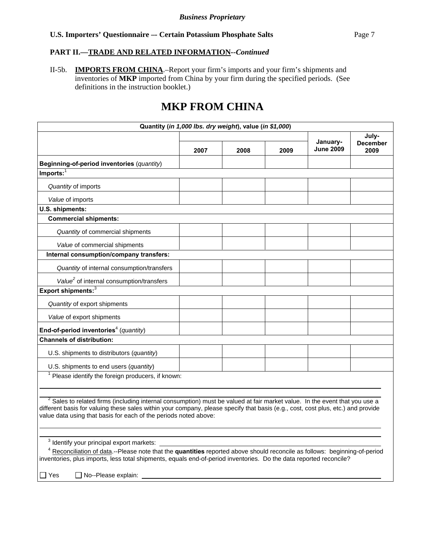# **PART II.—TRADE AND RELATED INFORMATION***--Continued*

II-5b. **IMPORTS FROM CHINA**.–Report your firm's imports and your firm's shipments and inventories of **MKP** imported from China by your firm during the specified periods. (See definitions in the instruction booklet.)

# **MKP FROM CHINA**

| Quantity (in 1,000 lbs. dry weight), value (in \$1,000)                                                                                                                                                                                                                                                                              |      |      |      |                              |                                  |
|--------------------------------------------------------------------------------------------------------------------------------------------------------------------------------------------------------------------------------------------------------------------------------------------------------------------------------------|------|------|------|------------------------------|----------------------------------|
|                                                                                                                                                                                                                                                                                                                                      | 2007 | 2008 | 2009 | January-<br><b>June 2009</b> | July-<br><b>December</b><br>2009 |
| Beginning-of-period inventories (quantity)                                                                                                                                                                                                                                                                                           |      |      |      |                              |                                  |
| $Imports:$ <sup>1</sup>                                                                                                                                                                                                                                                                                                              |      |      |      |                              |                                  |
| Quantity of imports                                                                                                                                                                                                                                                                                                                  |      |      |      |                              |                                  |
| Value of imports                                                                                                                                                                                                                                                                                                                     |      |      |      |                              |                                  |
| U.S. shipments:                                                                                                                                                                                                                                                                                                                      |      |      |      |                              |                                  |
| <b>Commercial shipments:</b>                                                                                                                                                                                                                                                                                                         |      |      |      |                              |                                  |
| Quantity of commercial shipments                                                                                                                                                                                                                                                                                                     |      |      |      |                              |                                  |
| Value of commercial shipments                                                                                                                                                                                                                                                                                                        |      |      |      |                              |                                  |
| Internal consumption/company transfers:                                                                                                                                                                                                                                                                                              |      |      |      |                              |                                  |
| Quantity of internal consumption/transfers                                                                                                                                                                                                                                                                                           |      |      |      |                              |                                  |
| Value <sup>2</sup> of internal consumption/transfers                                                                                                                                                                                                                                                                                 |      |      |      |                              |                                  |
| Export shipments: <sup>3</sup>                                                                                                                                                                                                                                                                                                       |      |      |      |                              |                                  |
| Quantity of export shipments                                                                                                                                                                                                                                                                                                         |      |      |      |                              |                                  |
| Value of export shipments                                                                                                                                                                                                                                                                                                            |      |      |      |                              |                                  |
| End-of-period inventories <sup>4</sup> (quantity)                                                                                                                                                                                                                                                                                    |      |      |      |                              |                                  |
| <b>Channels of distribution:</b>                                                                                                                                                                                                                                                                                                     |      |      |      |                              |                                  |
| U.S. shipments to distributors (quantity)                                                                                                                                                                                                                                                                                            |      |      |      |                              |                                  |
| U.S. shipments to end users (quantity)                                                                                                                                                                                                                                                                                               |      |      |      |                              |                                  |
| $1$ Please identify the foreign producers, if known:                                                                                                                                                                                                                                                                                 |      |      |      |                              |                                  |
| $2$ Sales to related firms (including internal consumption) must be valued at fair market value. In the event that you use a<br>different basis for valuing these sales within your company, please specify that basis (e.g., cost, cost plus, etc.) and provide<br>value data using that basis for each of the periods noted above: |      |      |      |                              |                                  |
| <sup>3</sup> Identify your principal export markets:                                                                                                                                                                                                                                                                                 |      |      |      |                              |                                  |
| <sup>4</sup> Reconciliation of data.--Please note that the quantities reported above should reconcile as follows: beginning-of-period<br>inventories, plus imports, less total shipments, equals end-of-period inventories. Do the data reported reconcile?                                                                          |      |      |      |                              |                                  |
| ∏ Yes<br>$\Box$ No--Please explain:                                                                                                                                                                                                                                                                                                  |      |      |      |                              |                                  |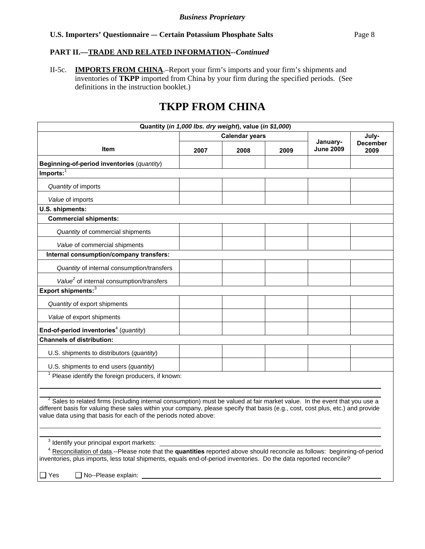# **PART II.—TRADE AND RELATED INFORMATION***--Continued*

II-5c. **IMPORTS FROM CHINA**.–Report your firm's imports and your firm's shipments and inventories of **TKPP** imported from China by your firm during the specified periods. (See definitions in the instruction booklet.)

# **TKPP FROM CHINA**

| Quantity (in 1,000 lbs. dry weight), value (in \$1,000)                                                                                                                                                                                                                                                                              |      |                       |      |                              |                         |
|--------------------------------------------------------------------------------------------------------------------------------------------------------------------------------------------------------------------------------------------------------------------------------------------------------------------------------------|------|-----------------------|------|------------------------------|-------------------------|
|                                                                                                                                                                                                                                                                                                                                      |      | <b>Calendar years</b> |      |                              | July-                   |
| Item                                                                                                                                                                                                                                                                                                                                 | 2007 | 2008                  | 2009 | January-<br><b>June 2009</b> | <b>December</b><br>2009 |
| Beginning-of-period inventories (quantity)                                                                                                                                                                                                                                                                                           |      |                       |      |                              |                         |
| Imports:                                                                                                                                                                                                                                                                                                                             |      |                       |      |                              |                         |
| Quantity of imports                                                                                                                                                                                                                                                                                                                  |      |                       |      |                              |                         |
| Value of imports                                                                                                                                                                                                                                                                                                                     |      |                       |      |                              |                         |
| U.S. shipments:                                                                                                                                                                                                                                                                                                                      |      |                       |      |                              |                         |
| <b>Commercial shipments:</b>                                                                                                                                                                                                                                                                                                         |      |                       |      |                              |                         |
| Quantity of commercial shipments                                                                                                                                                                                                                                                                                                     |      |                       |      |                              |                         |
| Value of commercial shipments                                                                                                                                                                                                                                                                                                        |      |                       |      |                              |                         |
| Internal consumption/company transfers:                                                                                                                                                                                                                                                                                              |      |                       |      |                              |                         |
| Quantity of internal consumption/transfers                                                                                                                                                                                                                                                                                           |      |                       |      |                              |                         |
| Value <sup>2</sup> of internal consumption/transfers                                                                                                                                                                                                                                                                                 |      |                       |      |                              |                         |
| Export shipments: <sup>3</sup>                                                                                                                                                                                                                                                                                                       |      |                       |      |                              |                         |
| Quantity of export shipments                                                                                                                                                                                                                                                                                                         |      |                       |      |                              |                         |
| Value of export shipments                                                                                                                                                                                                                                                                                                            |      |                       |      |                              |                         |
| End-of-period inventories <sup>4</sup> (quantity)                                                                                                                                                                                                                                                                                    |      |                       |      |                              |                         |
| <b>Channels of distribution:</b>                                                                                                                                                                                                                                                                                                     |      |                       |      |                              |                         |
| U.S. shipments to distributors (quantity)                                                                                                                                                                                                                                                                                            |      |                       |      |                              |                         |
| U.S. shipments to end users (quantity)                                                                                                                                                                                                                                                                                               |      |                       |      |                              |                         |
| $1$ Please identify the foreign producers, if known:                                                                                                                                                                                                                                                                                 |      |                       |      |                              |                         |
|                                                                                                                                                                                                                                                                                                                                      |      |                       |      |                              |                         |
| $2$ Sales to related firms (including internal consumption) must be valued at fair market value. In the event that you use a<br>different basis for valuing these sales within your company, please specify that basis (e.g., cost, cost plus, etc.) and provide<br>value data using that basis for each of the periods noted above: |      |                       |      |                              |                         |
|                                                                                                                                                                                                                                                                                                                                      |      |                       |      |                              |                         |
| <sup>3</sup> Identify your principal export markets:                                                                                                                                                                                                                                                                                 |      |                       |      |                              |                         |
| <sup>4</sup> Reconciliation of data.--Please note that the quantities reported above should reconcile as follows: beginning-of-period<br>inventories, plus imports, less total shipments, equals end-of-period inventories. Do the data reported reconcile?                                                                          |      |                       |      |                              |                         |
| $\sqcap$ Yes<br>No--Please explain:                                                                                                                                                                                                                                                                                                  |      |                       |      |                              |                         |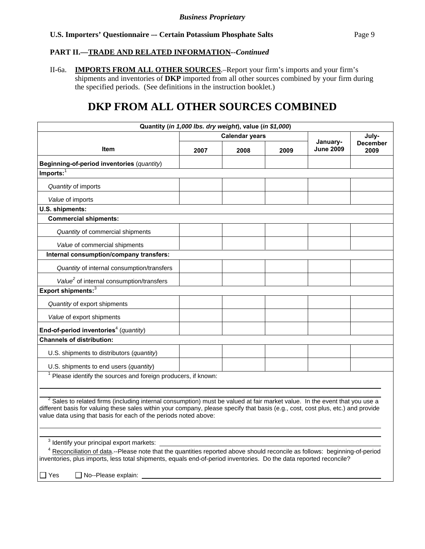#### **PART II.—TRADE AND RELATED INFORMATION***--Continued*

II-6a. **IMPORTS FROM ALL OTHER SOURCES**.–Report your firm's imports and your firm's shipments and inventories of **DKP** imported from all other sources combined by your firm during the specified periods. (See definitions in the instruction booklet.)

# **DKP FROM ALL OTHER SOURCES COMBINED**

| Quantity (in 1,000 lbs. dry weight), value (in \$1,000)                                                                                                                                                                                                                                                                                       |      |                       |      |                              |                         |
|-----------------------------------------------------------------------------------------------------------------------------------------------------------------------------------------------------------------------------------------------------------------------------------------------------------------------------------------------|------|-----------------------|------|------------------------------|-------------------------|
|                                                                                                                                                                                                                                                                                                                                               |      | <b>Calendar years</b> |      |                              | July-                   |
| Item                                                                                                                                                                                                                                                                                                                                          | 2007 | 2008                  | 2009 | January-<br><b>June 2009</b> | <b>December</b><br>2009 |
| Beginning-of-period inventories (quantity)                                                                                                                                                                                                                                                                                                    |      |                       |      |                              |                         |
| $Imports:$ <sup>1</sup>                                                                                                                                                                                                                                                                                                                       |      |                       |      |                              |                         |
| Quantity of imports                                                                                                                                                                                                                                                                                                                           |      |                       |      |                              |                         |
| Value of imports                                                                                                                                                                                                                                                                                                                              |      |                       |      |                              |                         |
| U.S. shipments:                                                                                                                                                                                                                                                                                                                               |      |                       |      |                              |                         |
| <b>Commercial shipments:</b>                                                                                                                                                                                                                                                                                                                  |      |                       |      |                              |                         |
| Quantity of commercial shipments                                                                                                                                                                                                                                                                                                              |      |                       |      |                              |                         |
| Value of commercial shipments                                                                                                                                                                                                                                                                                                                 |      |                       |      |                              |                         |
| Internal consumption/company transfers:                                                                                                                                                                                                                                                                                                       |      |                       |      |                              |                         |
| Quantity of internal consumption/transfers                                                                                                                                                                                                                                                                                                    |      |                       |      |                              |                         |
| Value <sup>2</sup> of internal consumption/transfers                                                                                                                                                                                                                                                                                          |      |                       |      |                              |                         |
| Export shipments: <sup>3</sup>                                                                                                                                                                                                                                                                                                                |      |                       |      |                              |                         |
| Quantity of export shipments                                                                                                                                                                                                                                                                                                                  |      |                       |      |                              |                         |
| Value of export shipments                                                                                                                                                                                                                                                                                                                     |      |                       |      |                              |                         |
| End-of-period inventories <sup>4</sup> (quantity)                                                                                                                                                                                                                                                                                             |      |                       |      |                              |                         |
| <b>Channels of distribution:</b>                                                                                                                                                                                                                                                                                                              |      |                       |      |                              |                         |
| U.S. shipments to distributors (quantity)                                                                                                                                                                                                                                                                                                     |      |                       |      |                              |                         |
| U.S. shipments to end users (quantity)                                                                                                                                                                                                                                                                                                        |      |                       |      |                              |                         |
| <sup>1</sup> Please identify the sources and foreign producers, if known:                                                                                                                                                                                                                                                                     |      |                       |      |                              |                         |
|                                                                                                                                                                                                                                                                                                                                               |      |                       |      |                              |                         |
| <sup>2</sup> Sales to related firms (including internal consumption) must be valued at fair market value. In the event that you use a<br>different basis for valuing these sales within your company, please specify that basis (e.g., cost, cost plus, etc.) and provide<br>value data using that basis for each of the periods noted above: |      |                       |      |                              |                         |
|                                                                                                                                                                                                                                                                                                                                               |      |                       |      |                              |                         |
| <sup>3</sup> Identify your principal export markets:                                                                                                                                                                                                                                                                                          |      |                       |      |                              |                         |
| <sup>4</sup> Reconciliation of data.--Please note that the quantities reported above should reconcile as follows: beginning-of-period<br>inventories, plus imports, less total shipments, equals end-of-period inventories. Do the data reported reconcile?                                                                                   |      |                       |      |                              |                         |
| □ Yes<br>No--Please explain:                                                                                                                                                                                                                                                                                                                  |      |                       |      |                              |                         |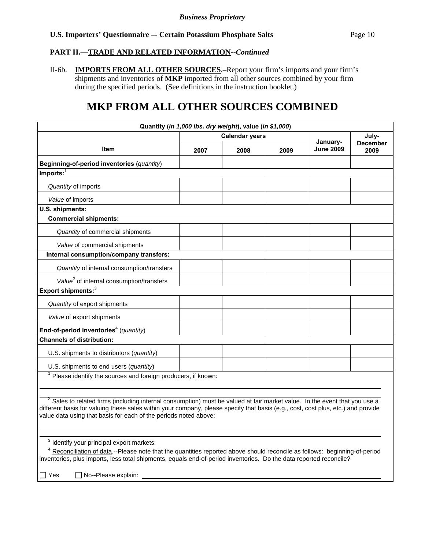#### **PART II.—TRADE AND RELATED INFORMATION***--Continued*

II-6b. **IMPORTS FROM ALL OTHER SOURCES**.–Report your firm's imports and your firm's shipments and inventories of **MKP** imported from all other sources combined by your firm during the specified periods. (See definitions in the instruction booklet.)

# **MKP FROM ALL OTHER SOURCES COMBINED**

| Quantity (in 1,000 lbs. dry weight), value (in \$1,000)                                                                                                                                                                                                                                                                                       |      |                       |      |                              |                         |
|-----------------------------------------------------------------------------------------------------------------------------------------------------------------------------------------------------------------------------------------------------------------------------------------------------------------------------------------------|------|-----------------------|------|------------------------------|-------------------------|
|                                                                                                                                                                                                                                                                                                                                               |      | <b>Calendar years</b> |      |                              | July-                   |
| Item                                                                                                                                                                                                                                                                                                                                          | 2007 | 2008                  | 2009 | January-<br><b>June 2009</b> | <b>December</b><br>2009 |
| Beginning-of-period inventories (quantity)                                                                                                                                                                                                                                                                                                    |      |                       |      |                              |                         |
| $Imports:$ <sup>1</sup>                                                                                                                                                                                                                                                                                                                       |      |                       |      |                              |                         |
| Quantity of imports                                                                                                                                                                                                                                                                                                                           |      |                       |      |                              |                         |
| Value of imports                                                                                                                                                                                                                                                                                                                              |      |                       |      |                              |                         |
| U.S. shipments:                                                                                                                                                                                                                                                                                                                               |      |                       |      |                              |                         |
| <b>Commercial shipments:</b>                                                                                                                                                                                                                                                                                                                  |      |                       |      |                              |                         |
| Quantity of commercial shipments                                                                                                                                                                                                                                                                                                              |      |                       |      |                              |                         |
| Value of commercial shipments                                                                                                                                                                                                                                                                                                                 |      |                       |      |                              |                         |
| Internal consumption/company transfers:                                                                                                                                                                                                                                                                                                       |      |                       |      |                              |                         |
| Quantity of internal consumption/transfers                                                                                                                                                                                                                                                                                                    |      |                       |      |                              |                         |
| Value <sup>2</sup> of internal consumption/transfers                                                                                                                                                                                                                                                                                          |      |                       |      |                              |                         |
| Export shipments: <sup>3</sup>                                                                                                                                                                                                                                                                                                                |      |                       |      |                              |                         |
| Quantity of export shipments                                                                                                                                                                                                                                                                                                                  |      |                       |      |                              |                         |
| Value of export shipments                                                                                                                                                                                                                                                                                                                     |      |                       |      |                              |                         |
| End-of-period inventories <sup>4</sup> (quantity)                                                                                                                                                                                                                                                                                             |      |                       |      |                              |                         |
| <b>Channels of distribution:</b>                                                                                                                                                                                                                                                                                                              |      |                       |      |                              |                         |
| U.S. shipments to distributors (quantity)                                                                                                                                                                                                                                                                                                     |      |                       |      |                              |                         |
| U.S. shipments to end users (quantity)                                                                                                                                                                                                                                                                                                        |      |                       |      |                              |                         |
| <sup>1</sup> Please identify the sources and foreign producers, if known:                                                                                                                                                                                                                                                                     |      |                       |      |                              |                         |
|                                                                                                                                                                                                                                                                                                                                               |      |                       |      |                              |                         |
| <sup>2</sup> Sales to related firms (including internal consumption) must be valued at fair market value. In the event that you use a<br>different basis for valuing these sales within your company, please specify that basis (e.g., cost, cost plus, etc.) and provide<br>value data using that basis for each of the periods noted above: |      |                       |      |                              |                         |
|                                                                                                                                                                                                                                                                                                                                               |      |                       |      |                              |                         |
| <sup>3</sup> Identify your principal export markets:                                                                                                                                                                                                                                                                                          |      |                       |      |                              |                         |
| <sup>4</sup> Reconciliation of data.--Please note that the quantities reported above should reconcile as follows: beginning-of-period<br>inventories, plus imports, less total shipments, equals end-of-period inventories. Do the data reported reconcile?                                                                                   |      |                       |      |                              |                         |
| $\Box$ Yes<br>$\Box$ No--Please explain:                                                                                                                                                                                                                                                                                                      |      |                       |      |                              |                         |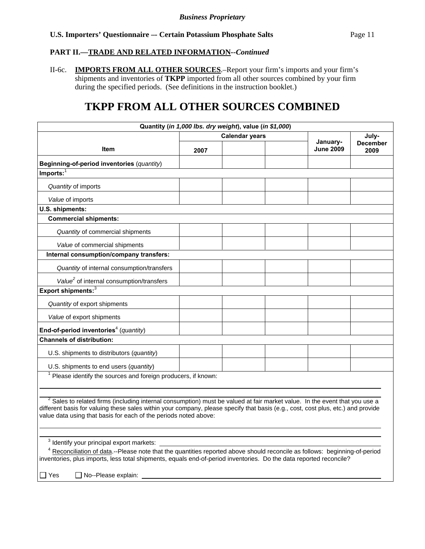#### **PART II.—TRADE AND RELATED INFORMATION***--Continued*

II-6c. **IMPORTS FROM ALL OTHER SOURCES**.–Report your firm's imports and your firm's shipments and inventories of **TKPP** imported from all other sources combined by your firm during the specified periods. (See definitions in the instruction booklet.)

# **TKPP FROM ALL OTHER SOURCES COMBINED**

|                                                                                                                                                                                                                                                                                                                                               |      | Quantity (in 1,000 lbs. dry weight), value (in \$1,000) |  |                  |                         |
|-----------------------------------------------------------------------------------------------------------------------------------------------------------------------------------------------------------------------------------------------------------------------------------------------------------------------------------------------|------|---------------------------------------------------------|--|------------------|-------------------------|
|                                                                                                                                                                                                                                                                                                                                               |      | <b>Calendar years</b><br>January-                       |  |                  | July-                   |
| Item                                                                                                                                                                                                                                                                                                                                          | 2007 |                                                         |  | <b>June 2009</b> | <b>December</b><br>2009 |
| Beginning-of-period inventories (quantity)                                                                                                                                                                                                                                                                                                    |      |                                                         |  |                  |                         |
| $Imports:$ <sup>1</sup>                                                                                                                                                                                                                                                                                                                       |      |                                                         |  |                  |                         |
| Quantity of imports                                                                                                                                                                                                                                                                                                                           |      |                                                         |  |                  |                         |
| Value of imports                                                                                                                                                                                                                                                                                                                              |      |                                                         |  |                  |                         |
| U.S. shipments:                                                                                                                                                                                                                                                                                                                               |      |                                                         |  |                  |                         |
| <b>Commercial shipments:</b>                                                                                                                                                                                                                                                                                                                  |      |                                                         |  |                  |                         |
| Quantity of commercial shipments                                                                                                                                                                                                                                                                                                              |      |                                                         |  |                  |                         |
| Value of commercial shipments                                                                                                                                                                                                                                                                                                                 |      |                                                         |  |                  |                         |
| Internal consumption/company transfers:                                                                                                                                                                                                                                                                                                       |      |                                                         |  |                  |                         |
| Quantity of internal consumption/transfers                                                                                                                                                                                                                                                                                                    |      |                                                         |  |                  |                         |
| Value <sup>2</sup> of internal consumption/transfers                                                                                                                                                                                                                                                                                          |      |                                                         |  |                  |                         |
| Export shipments: <sup>3</sup>                                                                                                                                                                                                                                                                                                                |      |                                                         |  |                  |                         |
| Quantity of export shipments                                                                                                                                                                                                                                                                                                                  |      |                                                         |  |                  |                         |
| Value of export shipments                                                                                                                                                                                                                                                                                                                     |      |                                                         |  |                  |                         |
| End-of-period inventories <sup>4</sup> (quantity)                                                                                                                                                                                                                                                                                             |      |                                                         |  |                  |                         |
| <b>Channels of distribution:</b>                                                                                                                                                                                                                                                                                                              |      |                                                         |  |                  |                         |
| U.S. shipments to distributors (quantity)                                                                                                                                                                                                                                                                                                     |      |                                                         |  |                  |                         |
| U.S. shipments to end users (quantity)                                                                                                                                                                                                                                                                                                        |      |                                                         |  |                  |                         |
| <sup>1</sup> Please identify the sources and foreign producers, if known:                                                                                                                                                                                                                                                                     |      |                                                         |  |                  |                         |
|                                                                                                                                                                                                                                                                                                                                               |      |                                                         |  |                  |                         |
| <sup>2</sup> Sales to related firms (including internal consumption) must be valued at fair market value. In the event that you use a<br>different basis for valuing these sales within your company, please specify that basis (e.g., cost, cost plus, etc.) and provide<br>value data using that basis for each of the periods noted above: |      |                                                         |  |                  |                         |
|                                                                                                                                                                                                                                                                                                                                               |      |                                                         |  |                  |                         |
| <sup>3</sup> Identify your principal export markets:                                                                                                                                                                                                                                                                                          |      |                                                         |  |                  |                         |
| <sup>4</sup> Reconciliation of data.--Please note that the quantities reported above should reconcile as follows: beginning-of-period<br>inventories, plus imports, less total shipments, equals end-of-period inventories. Do the data reported reconcile?                                                                                   |      |                                                         |  |                  |                         |
| $\Box$ Yes<br>$\Box$ No--Please explain:                                                                                                                                                                                                                                                                                                      |      |                                                         |  |                  |                         |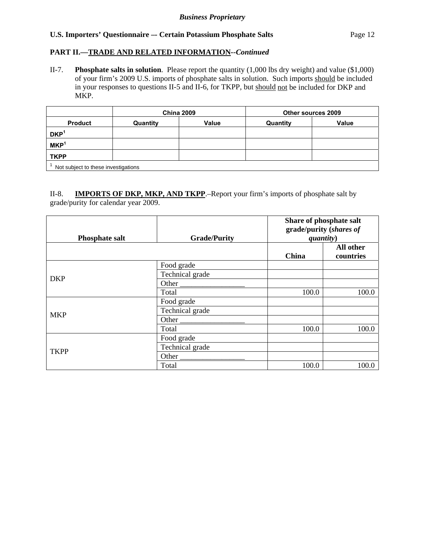# **PART II.—TRADE AND RELATED INFORMATION***--Continued*

II-7. **Phosphate salts in solution**. Please report the quantity (1,000 lbs dry weight) and value (\$1,000) of your firm's 2009 U.S. imports of phosphate salts in solution. Such imports should be included in your responses to questions II-5 and II-6, for TKPP, but should not be included for DKP and MKP.

|                                     |          | <b>China 2009</b> |          | Other sources 2009 |  |  |
|-------------------------------------|----------|-------------------|----------|--------------------|--|--|
| <b>Product</b>                      | Quantity | Value             | Quantity | Value              |  |  |
| DKP <sup>1</sup>                    |          |                   |          |                    |  |  |
| MKP <sup>1</sup>                    |          |                   |          |                    |  |  |
| <b>TKPP</b>                         |          |                   |          |                    |  |  |
| Not subject to these investigations |          |                   |          |                    |  |  |

II-8. **IMPORTS OF DKP, MKP, AND TKPP**.–Report your firm's imports of phosphate salt by grade/purity for calendar year 2009.

| <b>Phosphate salt</b> | <b>Grade/Purity</b> | Share of phosphate salt<br>grade/purity (shares of<br>quantity) |                        |  |
|-----------------------|---------------------|-----------------------------------------------------------------|------------------------|--|
|                       |                     | China                                                           | All other<br>countries |  |
|                       | Food grade          |                                                                 |                        |  |
| <b>DKP</b>            | Technical grade     |                                                                 |                        |  |
|                       | Other               |                                                                 |                        |  |
|                       | Total               | 100.0                                                           | 100.0                  |  |
|                       | Food grade          |                                                                 |                        |  |
| <b>MKP</b>            | Technical grade     |                                                                 |                        |  |
|                       | Other $\_\_$        |                                                                 |                        |  |
|                       | Total               | 100.0                                                           | 100.0                  |  |
|                       | Food grade          |                                                                 |                        |  |
| <b>TKPP</b>           | Technical grade     |                                                                 |                        |  |
|                       | Other               |                                                                 |                        |  |
|                       | Total               | 100.0                                                           | 100.0                  |  |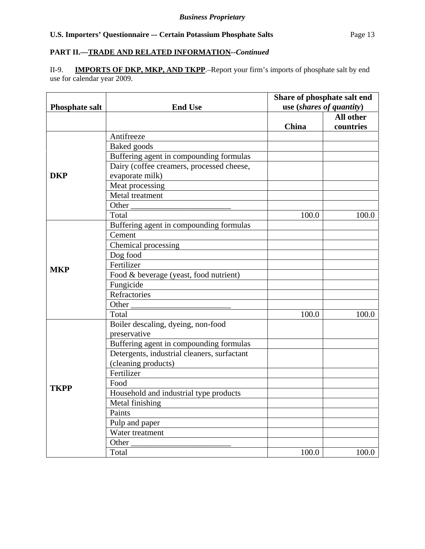#### *Business Proprietary*

# U.S. Importers' Questionnaire -- Certain Potassium Phosphate Salts Page 13

# **PART II.—TRADE AND RELATED INFORMATION***--Continued*

II-9. **IMPORTS OF DKP, MKP, AND TKPP**.–Report your firm's imports of phosphate salt by end use for calendar year 2009.

|                       |                                             | Share of phosphate salt end |                          |  |  |
|-----------------------|---------------------------------------------|-----------------------------|--------------------------|--|--|
| <b>Phosphate salt</b> | <b>End Use</b>                              |                             | use (shares of quantity) |  |  |
|                       |                                             |                             | All other                |  |  |
|                       |                                             | China                       | countries                |  |  |
|                       | Antifreeze                                  |                             |                          |  |  |
|                       | Baked goods                                 |                             |                          |  |  |
|                       | Buffering agent in compounding formulas     |                             |                          |  |  |
|                       | Dairy (coffee creamers, processed cheese,   |                             |                          |  |  |
| <b>DKP</b>            | evaporate milk)                             |                             |                          |  |  |
|                       | Meat processing                             |                             |                          |  |  |
|                       | Metal treatment                             |                             |                          |  |  |
|                       | Other                                       |                             |                          |  |  |
|                       | Total                                       | 100.0                       | 100.0                    |  |  |
|                       | Buffering agent in compounding formulas     |                             |                          |  |  |
|                       | Cement                                      |                             |                          |  |  |
|                       | Chemical processing                         |                             |                          |  |  |
|                       | Dog food                                    |                             |                          |  |  |
|                       | Fertilizer                                  |                             |                          |  |  |
| <b>MKP</b>            | Food & beverage (yeast, food nutrient)      |                             |                          |  |  |
|                       | Fungicide                                   |                             |                          |  |  |
|                       | Refractories                                |                             |                          |  |  |
|                       | Other                                       |                             |                          |  |  |
|                       | Total                                       | 100.0                       | 100.0                    |  |  |
|                       | Boiler descaling, dyeing, non-food          |                             |                          |  |  |
|                       | preservative                                |                             |                          |  |  |
|                       | Buffering agent in compounding formulas     |                             |                          |  |  |
|                       | Detergents, industrial cleaners, surfactant |                             |                          |  |  |
|                       | (cleaning products)                         |                             |                          |  |  |
|                       | Fertilizer                                  |                             |                          |  |  |
|                       | Food                                        |                             |                          |  |  |
| <b>TKPP</b>           | Household and industrial type products      |                             |                          |  |  |
|                       | Metal finishing                             |                             |                          |  |  |
|                       | Paints                                      |                             |                          |  |  |
|                       | Pulp and paper                              |                             |                          |  |  |
|                       | Water treatment                             |                             |                          |  |  |
|                       | Other                                       |                             |                          |  |  |
|                       | Total                                       | 100.0                       | 100.0                    |  |  |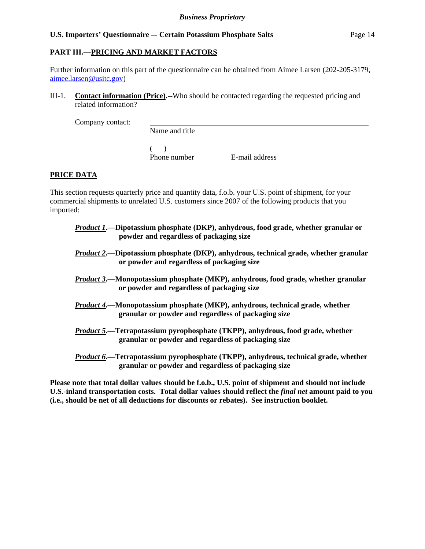# **PART III.—PRICING AND MARKET FACTORS**

Further information on this part of the questionnaire can be obtained from Aimee Larsen (202-205-3179, aimee.larsen@usitc.gov)

III-1. **Contact information (Price).--**Who should be contacted regarding the requested pricing and related information?

Company contact:

Name and title

 $($ 

Phone number E-mail address

# **PRICE DATA**

This section requests quarterly price and quantity data, f.o.b. your U.S. point of shipment, for your commercial shipments to unrelated U.S. customers since 2007 of the following products that you imported:

- *Product 1***.—Dipotassium phosphate (DKP), anhydrous, food grade, whether granular or powder and regardless of packaging size**
- *Product 2***.—Dipotassium phosphate (DKP), anhydrous, technical grade, whether granular or powder and regardless of packaging size**
- *Product 3***.—Monopotassium phosphate (MKP), anhydrous, food grade, whether granular or powder and regardless of packaging size**
- *Product 4***.—Monopotassium phosphate (MKP), anhydrous, technical grade, whether granular or powder and regardless of packaging size**
- *Product 5***.—Tetrapotassium pyrophosphate (TKPP), anhydrous, food grade, whether granular or powder and regardless of packaging size**
- *Product 6***.—Tetrapotassium pyrophosphate (TKPP), anhydrous, technical grade, whether granular or powder and regardless of packaging size**

**Please note that total dollar values should be f.o.b., U.S. point of shipment and should not include U.S.-inland transportation costs. Total dollar values should reflect the** *final net* **amount paid to you (i.e., should be net of all deductions for discounts or rebates). See instruction booklet.**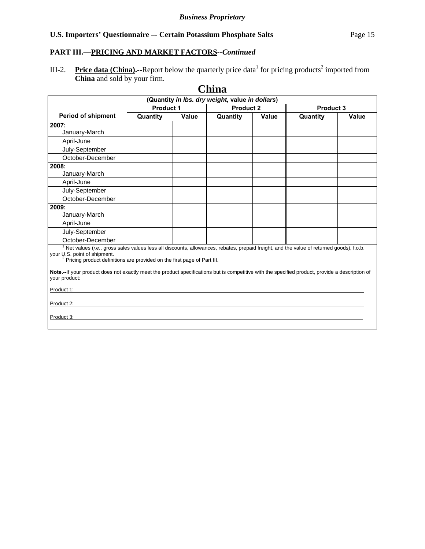# **PART III.—PRICING AND MARKET FACTORS***--Continued*

III-2. Price data (China).--Report below the quarterly price data<sup>1</sup> for pricing products<sup>2</sup> imported from **China** and sold by your firm.

|                                                                                                                                                                                                                                                                                                                                                                                                                                                  |          |                                      | UMM                                             |       |          |       |           |  |
|--------------------------------------------------------------------------------------------------------------------------------------------------------------------------------------------------------------------------------------------------------------------------------------------------------------------------------------------------------------------------------------------------------------------------------------------------|----------|--------------------------------------|-------------------------------------------------|-------|----------|-------|-----------|--|
|                                                                                                                                                                                                                                                                                                                                                                                                                                                  |          |                                      | (Quantity in Ibs. dry weight, value in dollars) |       |          |       |           |  |
|                                                                                                                                                                                                                                                                                                                                                                                                                                                  |          | <b>Product 1</b><br><b>Product 2</b> |                                                 |       |          |       | Product 3 |  |
| <b>Period of shipment</b>                                                                                                                                                                                                                                                                                                                                                                                                                        | Quantity | Value                                | Quantity                                        | Value | Quantity | Value |           |  |
| 2007:                                                                                                                                                                                                                                                                                                                                                                                                                                            |          |                                      |                                                 |       |          |       |           |  |
| January-March                                                                                                                                                                                                                                                                                                                                                                                                                                    |          |                                      |                                                 |       |          |       |           |  |
| April-June                                                                                                                                                                                                                                                                                                                                                                                                                                       |          |                                      |                                                 |       |          |       |           |  |
| July-September                                                                                                                                                                                                                                                                                                                                                                                                                                   |          |                                      |                                                 |       |          |       |           |  |
| October-December                                                                                                                                                                                                                                                                                                                                                                                                                                 |          |                                      |                                                 |       |          |       |           |  |
| 2008:                                                                                                                                                                                                                                                                                                                                                                                                                                            |          |                                      |                                                 |       |          |       |           |  |
| January-March                                                                                                                                                                                                                                                                                                                                                                                                                                    |          |                                      |                                                 |       |          |       |           |  |
| April-June                                                                                                                                                                                                                                                                                                                                                                                                                                       |          |                                      |                                                 |       |          |       |           |  |
| July-September                                                                                                                                                                                                                                                                                                                                                                                                                                   |          |                                      |                                                 |       |          |       |           |  |
| October-December                                                                                                                                                                                                                                                                                                                                                                                                                                 |          |                                      |                                                 |       |          |       |           |  |
| 2009:                                                                                                                                                                                                                                                                                                                                                                                                                                            |          |                                      |                                                 |       |          |       |           |  |
| January-March                                                                                                                                                                                                                                                                                                                                                                                                                                    |          |                                      |                                                 |       |          |       |           |  |
| April-June                                                                                                                                                                                                                                                                                                                                                                                                                                       |          |                                      |                                                 |       |          |       |           |  |
| July-September                                                                                                                                                                                                                                                                                                                                                                                                                                   |          |                                      |                                                 |       |          |       |           |  |
| October-December                                                                                                                                                                                                                                                                                                                                                                                                                                 |          |                                      |                                                 |       |          |       |           |  |
| <sup>1</sup> Net values (i.e., gross sales values less all discounts, allowances, rebates, prepaid freight, and the value of returned goods), f.o.b.<br>your U.S. point of shipment.<br><sup>2</sup> Pricing product definitions are provided on the first page of Part III.<br>Note.--If your product does not exactly meet the product specifications but is competitive with the specified product, provide a description of<br>your product: |          |                                      |                                                 |       |          |       |           |  |
|                                                                                                                                                                                                                                                                                                                                                                                                                                                  |          |                                      |                                                 |       |          |       |           |  |
| Product 1:                                                                                                                                                                                                                                                                                                                                                                                                                                       |          |                                      |                                                 |       |          |       |           |  |
| Product 2:                                                                                                                                                                                                                                                                                                                                                                                                                                       |          |                                      |                                                 |       |          |       |           |  |
| Product 3:                                                                                                                                                                                                                                                                                                                                                                                                                                       |          |                                      |                                                 |       |          |       |           |  |
|                                                                                                                                                                                                                                                                                                                                                                                                                                                  |          |                                      |                                                 |       |          |       |           |  |

# **China**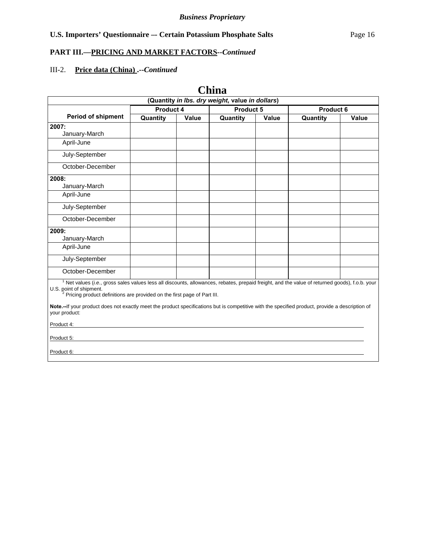# **PART III.—PRICING AND MARKET FACTORS***--Continued*

# III-2. **Price data (China) .--***Continued*

**China** 

| (Quantity in Ibs. dry weight, value in dollars)                                                                                                                                                                                                                              |           |       |                        |       |          |       |
|------------------------------------------------------------------------------------------------------------------------------------------------------------------------------------------------------------------------------------------------------------------------------|-----------|-------|------------------------|-------|----------|-------|
|                                                                                                                                                                                                                                                                              | Product 4 |       | Product 5<br>Product 6 |       |          |       |
| <b>Period of shipment</b>                                                                                                                                                                                                                                                    | Quantity  | Value | Quantity               | Value | Quantity | Value |
| 2007:                                                                                                                                                                                                                                                                        |           |       |                        |       |          |       |
| January-March                                                                                                                                                                                                                                                                |           |       |                        |       |          |       |
| April-June                                                                                                                                                                                                                                                                   |           |       |                        |       |          |       |
| July-September                                                                                                                                                                                                                                                               |           |       |                        |       |          |       |
| October-December                                                                                                                                                                                                                                                             |           |       |                        |       |          |       |
| 2008:                                                                                                                                                                                                                                                                        |           |       |                        |       |          |       |
| January-March                                                                                                                                                                                                                                                                |           |       |                        |       |          |       |
| April-June                                                                                                                                                                                                                                                                   |           |       |                        |       |          |       |
| July-September                                                                                                                                                                                                                                                               |           |       |                        |       |          |       |
| October-December                                                                                                                                                                                                                                                             |           |       |                        |       |          |       |
| 2009:                                                                                                                                                                                                                                                                        |           |       |                        |       |          |       |
| January-March                                                                                                                                                                                                                                                                |           |       |                        |       |          |       |
| April-June                                                                                                                                                                                                                                                                   |           |       |                        |       |          |       |
| July-September                                                                                                                                                                                                                                                               |           |       |                        |       |          |       |
| October-December                                                                                                                                                                                                                                                             |           |       |                        |       |          |       |
| <sup>1</sup> Net values (i.e., gross sales values less all discounts, allowances, rebates, prepaid freight, and the value of returned goods), f.o.b. your<br>U.S. point of shipment.<br><sup>2</sup> Pricing product definitions are provided on the first page of Part III. |           |       |                        |       |          |       |
| Note.--If your product does not exactly meet the product specifications but is competitive with the specified product, provide a description of<br>your product:                                                                                                             |           |       |                        |       |          |       |
| Product 4:                                                                                                                                                                                                                                                                   |           |       |                        |       |          |       |
| Product 5:                                                                                                                                                                                                                                                                   |           |       |                        |       |          |       |
| Product 6:                                                                                                                                                                                                                                                                   |           |       |                        |       |          |       |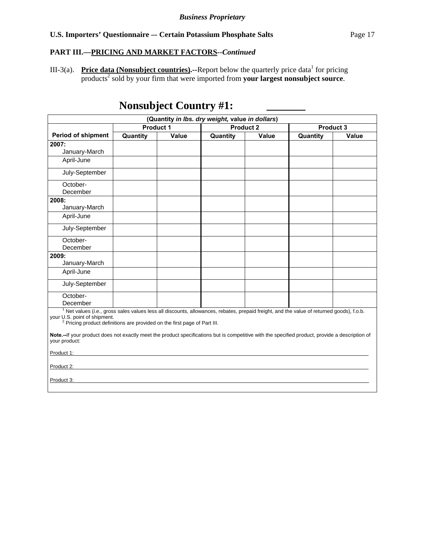# **PART III.—PRICING AND MARKET FACTORS***--Continued*

III-3(a). Price data (Nonsubject countries).--Report below the quarterly price data<sup>1</sup> for pricing products<sup>2</sup> sold by your firm that were imported from your largest nonsubject source.

# **Nonsubject Country #1:**

|                                                                                                                                                                                                                                                                              |                  |       | (Quantity in Ibs. dry weight, value in dollars) |       |          |       |
|------------------------------------------------------------------------------------------------------------------------------------------------------------------------------------------------------------------------------------------------------------------------------|------------------|-------|-------------------------------------------------|-------|----------|-------|
|                                                                                                                                                                                                                                                                              | <b>Product 1</b> |       | <b>Product 2</b><br>Product 3                   |       |          |       |
| <b>Period of shipment</b>                                                                                                                                                                                                                                                    | Quantity         | Value | Quantity                                        | Value | Quantity | Value |
| 2007:                                                                                                                                                                                                                                                                        |                  |       |                                                 |       |          |       |
| January-March                                                                                                                                                                                                                                                                |                  |       |                                                 |       |          |       |
| April-June                                                                                                                                                                                                                                                                   |                  |       |                                                 |       |          |       |
| July-September                                                                                                                                                                                                                                                               |                  |       |                                                 |       |          |       |
| October-                                                                                                                                                                                                                                                                     |                  |       |                                                 |       |          |       |
| December                                                                                                                                                                                                                                                                     |                  |       |                                                 |       |          |       |
| 2008:                                                                                                                                                                                                                                                                        |                  |       |                                                 |       |          |       |
| January-March                                                                                                                                                                                                                                                                |                  |       |                                                 |       |          |       |
| April-June                                                                                                                                                                                                                                                                   |                  |       |                                                 |       |          |       |
| July-September                                                                                                                                                                                                                                                               |                  |       |                                                 |       |          |       |
| October-                                                                                                                                                                                                                                                                     |                  |       |                                                 |       |          |       |
| December                                                                                                                                                                                                                                                                     |                  |       |                                                 |       |          |       |
| 2009:                                                                                                                                                                                                                                                                        |                  |       |                                                 |       |          |       |
| January-March                                                                                                                                                                                                                                                                |                  |       |                                                 |       |          |       |
| April-June                                                                                                                                                                                                                                                                   |                  |       |                                                 |       |          |       |
| July-September                                                                                                                                                                                                                                                               |                  |       |                                                 |       |          |       |
| October-                                                                                                                                                                                                                                                                     |                  |       |                                                 |       |          |       |
| December                                                                                                                                                                                                                                                                     |                  |       |                                                 |       |          |       |
| <sup>1</sup> Net values (i.e., gross sales values less all discounts, allowances, rebates, prepaid freight, and the value of returned goods), f.o.b.<br>your U.S. point of shipment.<br><sup>2</sup> Pricing product definitions are provided on the first page of Part III. |                  |       |                                                 |       |          |       |
| Note.--If your product does not exactly meet the product specifications but is competitive with the specified product, provide a description of<br>your product:                                                                                                             |                  |       |                                                 |       |          |       |
| Product 1:                                                                                                                                                                                                                                                                   |                  |       |                                                 |       |          |       |
| Product 2:                                                                                                                                                                                                                                                                   |                  |       |                                                 |       |          |       |
| Product 3:                                                                                                                                                                                                                                                                   |                  |       |                                                 |       |          |       |
|                                                                                                                                                                                                                                                                              |                  |       |                                                 |       |          |       |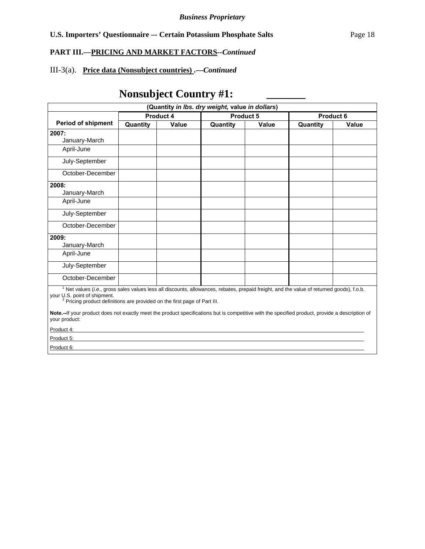# **PART III.—PRICING AND MARKET FACTORS***--Continued*

# III-3(a). **Price data (Nonsubject countries) .—***Continued*

# Nonsubject Country #1:

| (Quantity in Ibs. dry weight, value in dollars)                                                                                                                                                                                                                                                                                                                                                                                                                |          |                  |                               |       |          |       |  |
|----------------------------------------------------------------------------------------------------------------------------------------------------------------------------------------------------------------------------------------------------------------------------------------------------------------------------------------------------------------------------------------------------------------------------------------------------------------|----------|------------------|-------------------------------|-------|----------|-------|--|
|                                                                                                                                                                                                                                                                                                                                                                                                                                                                |          | <b>Product 4</b> | <b>Product 5</b><br>Product 6 |       |          |       |  |
| <b>Period of shipment</b>                                                                                                                                                                                                                                                                                                                                                                                                                                      | Quantity | Value            | Quantity                      | Value | Quantity | Value |  |
| 2007:                                                                                                                                                                                                                                                                                                                                                                                                                                                          |          |                  |                               |       |          |       |  |
| January-March                                                                                                                                                                                                                                                                                                                                                                                                                                                  |          |                  |                               |       |          |       |  |
| April-June                                                                                                                                                                                                                                                                                                                                                                                                                                                     |          |                  |                               |       |          |       |  |
| July-September                                                                                                                                                                                                                                                                                                                                                                                                                                                 |          |                  |                               |       |          |       |  |
| October-December                                                                                                                                                                                                                                                                                                                                                                                                                                               |          |                  |                               |       |          |       |  |
| 2008:                                                                                                                                                                                                                                                                                                                                                                                                                                                          |          |                  |                               |       |          |       |  |
| January-March                                                                                                                                                                                                                                                                                                                                                                                                                                                  |          |                  |                               |       |          |       |  |
| April-June                                                                                                                                                                                                                                                                                                                                                                                                                                                     |          |                  |                               |       |          |       |  |
| July-September                                                                                                                                                                                                                                                                                                                                                                                                                                                 |          |                  |                               |       |          |       |  |
| October-December                                                                                                                                                                                                                                                                                                                                                                                                                                               |          |                  |                               |       |          |       |  |
| 2009:                                                                                                                                                                                                                                                                                                                                                                                                                                                          |          |                  |                               |       |          |       |  |
| January-March                                                                                                                                                                                                                                                                                                                                                                                                                                                  |          |                  |                               |       |          |       |  |
| April-June                                                                                                                                                                                                                                                                                                                                                                                                                                                     |          |                  |                               |       |          |       |  |
| July-September                                                                                                                                                                                                                                                                                                                                                                                                                                                 |          |                  |                               |       |          |       |  |
| October-December                                                                                                                                                                                                                                                                                                                                                                                                                                               |          |                  |                               |       |          |       |  |
| <sup>1</sup> Net values (i.e., gross sales values less all discounts, allowances, rebates, prepaid freight, and the value of returned goods), f.o.b.<br>your U.S. point of shipment.<br><sup>2</sup> Pricing product definitions are provided on the first page of Part III.<br>Note.--If your product does not exactly meet the product specifications but is competitive with the specified product, provide a description of<br>your product:<br>Product 4: |          |                  |                               |       |          |       |  |
| Product 5:                                                                                                                                                                                                                                                                                                                                                                                                                                                     |          |                  |                               |       |          |       |  |
| Product 6:                                                                                                                                                                                                                                                                                                                                                                                                                                                     |          |                  |                               |       |          |       |  |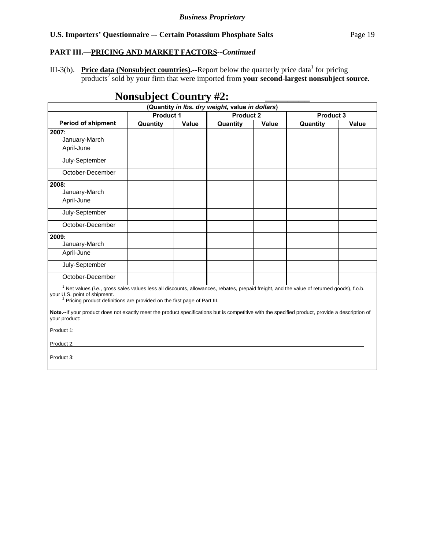#### **PART III.—PRICING AND MARKET FACTORS***--Continued*

III-3(b). Price data (Nonsubject countries).--Report below the quarterly price data<sup>1</sup> for pricing products<sup>2</sup> sold by your firm that were imported from your second-largest nonsubject source.

# **Nonsubject Country #2:**

| (Quantity in Ibs. dry weight, value in dollars)                                                                                                                                                                                                                              |                  |       |                                      |       |          |       |
|------------------------------------------------------------------------------------------------------------------------------------------------------------------------------------------------------------------------------------------------------------------------------|------------------|-------|--------------------------------------|-------|----------|-------|
|                                                                                                                                                                                                                                                                              | <b>Product 1</b> |       | <b>Product 2</b><br><b>Product 3</b> |       |          |       |
| <b>Period of shipment</b>                                                                                                                                                                                                                                                    | Quantity         | Value | Quantity                             | Value | Quantity | Value |
| 2007:                                                                                                                                                                                                                                                                        |                  |       |                                      |       |          |       |
| January-March                                                                                                                                                                                                                                                                |                  |       |                                      |       |          |       |
| April-June                                                                                                                                                                                                                                                                   |                  |       |                                      |       |          |       |
| July-September                                                                                                                                                                                                                                                               |                  |       |                                      |       |          |       |
| October-December                                                                                                                                                                                                                                                             |                  |       |                                      |       |          |       |
| 2008:                                                                                                                                                                                                                                                                        |                  |       |                                      |       |          |       |
| January-March                                                                                                                                                                                                                                                                |                  |       |                                      |       |          |       |
| April-June                                                                                                                                                                                                                                                                   |                  |       |                                      |       |          |       |
| July-September                                                                                                                                                                                                                                                               |                  |       |                                      |       |          |       |
| October-December                                                                                                                                                                                                                                                             |                  |       |                                      |       |          |       |
| 2009:                                                                                                                                                                                                                                                                        |                  |       |                                      |       |          |       |
| January-March                                                                                                                                                                                                                                                                |                  |       |                                      |       |          |       |
| April-June                                                                                                                                                                                                                                                                   |                  |       |                                      |       |          |       |
| July-September                                                                                                                                                                                                                                                               |                  |       |                                      |       |          |       |
| October-December                                                                                                                                                                                                                                                             |                  |       |                                      |       |          |       |
| <sup>1</sup> Net values (i.e., gross sales values less all discounts, allowances, rebates, prepaid freight, and the value of returned goods), f.o.b.<br>your U.S. point of shipment.<br><sup>2</sup> Pricing product definitions are provided on the first page of Part III. |                  |       |                                      |       |          |       |
| Note.--If your product does not exactly meet the product specifications but is competitive with the specified product, provide a description of<br>your product:                                                                                                             |                  |       |                                      |       |          |       |
| Product 1:                                                                                                                                                                                                                                                                   |                  |       |                                      |       |          |       |
| Product 2:                                                                                                                                                                                                                                                                   |                  |       |                                      |       |          |       |
| Product 3:                                                                                                                                                                                                                                                                   |                  |       |                                      |       |          |       |
|                                                                                                                                                                                                                                                                              |                  |       |                                      |       |          |       |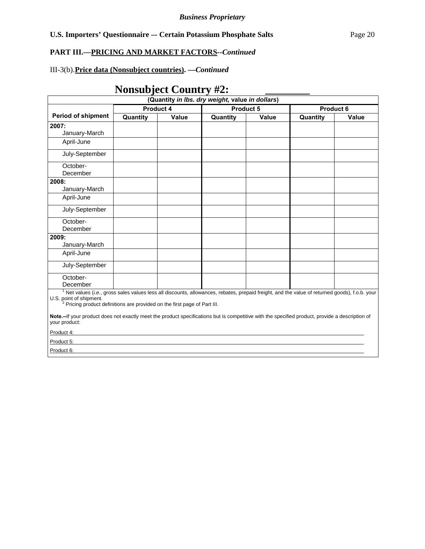# **PART III.—PRICING AND MARKET FACTORS***--Continued*

# III-3(b). **Price data (Nonsubject countries). —***Continued*

# **Nonsubject Country #2:**

| (Quantity in Ibs. dry weight, value in dollars)                                                                                                                                                                                                                              |           |              |                        |              |          |              |  |
|------------------------------------------------------------------------------------------------------------------------------------------------------------------------------------------------------------------------------------------------------------------------------|-----------|--------------|------------------------|--------------|----------|--------------|--|
|                                                                                                                                                                                                                                                                              | Product 4 |              | Product 5<br>Product 6 |              |          |              |  |
| <b>Period of shipment</b>                                                                                                                                                                                                                                                    | Quantity  | <b>Value</b> | Quantity               | <b>Value</b> | Quantity | <b>Value</b> |  |
| 2007:                                                                                                                                                                                                                                                                        |           |              |                        |              |          |              |  |
| January-March                                                                                                                                                                                                                                                                |           |              |                        |              |          |              |  |
| April-June                                                                                                                                                                                                                                                                   |           |              |                        |              |          |              |  |
| July-September                                                                                                                                                                                                                                                               |           |              |                        |              |          |              |  |
| October-                                                                                                                                                                                                                                                                     |           |              |                        |              |          |              |  |
| December                                                                                                                                                                                                                                                                     |           |              |                        |              |          |              |  |
| 2008:                                                                                                                                                                                                                                                                        |           |              |                        |              |          |              |  |
| January-March                                                                                                                                                                                                                                                                |           |              |                        |              |          |              |  |
| April-June                                                                                                                                                                                                                                                                   |           |              |                        |              |          |              |  |
| July-September                                                                                                                                                                                                                                                               |           |              |                        |              |          |              |  |
| October-                                                                                                                                                                                                                                                                     |           |              |                        |              |          |              |  |
| December                                                                                                                                                                                                                                                                     |           |              |                        |              |          |              |  |
| 2009:                                                                                                                                                                                                                                                                        |           |              |                        |              |          |              |  |
| January-March                                                                                                                                                                                                                                                                |           |              |                        |              |          |              |  |
| April-June                                                                                                                                                                                                                                                                   |           |              |                        |              |          |              |  |
| July-September                                                                                                                                                                                                                                                               |           |              |                        |              |          |              |  |
| October-                                                                                                                                                                                                                                                                     |           |              |                        |              |          |              |  |
| December                                                                                                                                                                                                                                                                     |           |              |                        |              |          |              |  |
| <sup>1</sup> Net values (i.e., gross sales values less all discounts, allowances, rebates, prepaid freight, and the value of returned goods), f.o.b. your<br>U.S. point of shipment.<br><sup>2</sup> Pricing product definitions are provided on the first page of Part III. |           |              |                        |              |          |              |  |
| Note.--If your product does not exactly meet the product specifications but is competitive with the specified product, provide a description of<br>your product:                                                                                                             |           |              |                        |              |          |              |  |
| Product 4:                                                                                                                                                                                                                                                                   |           |              |                        |              |          |              |  |
| Product 5:                                                                                                                                                                                                                                                                   |           |              |                        |              |          |              |  |
| Product 6:                                                                                                                                                                                                                                                                   |           |              |                        |              |          |              |  |
|                                                                                                                                                                                                                                                                              |           |              |                        |              |          |              |  |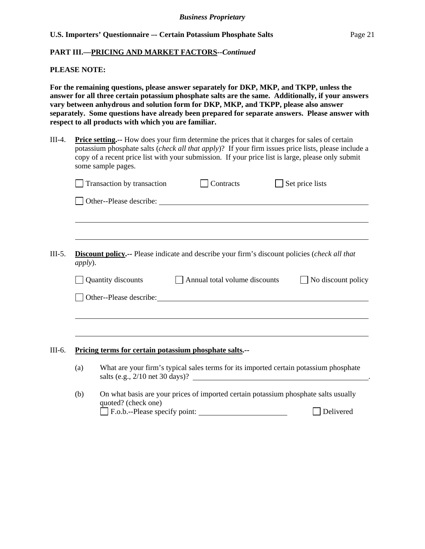#### **PART III.—PRICING AND MARKET FACTORS***--Continued*

#### **PLEASE NOTE:**

**For the remaining questions, please answer separately for DKP, MKP, and TKPP, unless the answer for all three certain potassium phosphate salts are the same. Additionally, if your answers vary between anhydrous and solution form for DKP, MKP, and TKPP, please also answer separately. Some questions have already been prepared for separate answers. Please answer with respect to all products with which you are familiar.** 

III-4. **Price setting.--** How does your firm determine the prices that it charges for sales of certain potassium phosphate salts (*check all that apply*)? If your firm issues price lists, please include a copy of a recent price list with your submission. If your price list is large, please only submit some sample pages.

|         | Transaction by transaction | Contracts                                                                                                                                                                                                                      | Set price lists |                    |
|---------|----------------------------|--------------------------------------------------------------------------------------------------------------------------------------------------------------------------------------------------------------------------------|-----------------|--------------------|
|         |                            | Other--Please describe: Note that the set of the set of the set of the set of the set of the set of the set of the set of the set of the set of the set of the set of the set of the set of the set of the set of the set of t |                 |                    |
|         |                            |                                                                                                                                                                                                                                |                 |                    |
|         |                            |                                                                                                                                                                                                                                |                 |                    |
| apply). |                            | <b>Discount policy.</b> -- Please indicate and describe your firm's discount policies (check all that                                                                                                                          |                 |                    |
|         | Quantity discounts         | Annual total volume discounts                                                                                                                                                                                                  |                 | No discount policy |
|         |                            | Other--Please describe: Note that the set of the set of the set of the set of the set of the set of the set of the set of the set of the set of the set of the set of the set of the set of the set of the set of the set of t |                 |                    |
|         |                            |                                                                                                                                                                                                                                |                 |                    |
|         |                            |                                                                                                                                                                                                                                |                 |                    |
|         |                            |                                                                                                                                                                                                                                |                 |                    |
|         |                            | Pricing terms for certain potassium phosphate salts.--                                                                                                                                                                         |                 |                    |
| (a)     |                            | What are your firm's typical sales terms for its imported certain potassium phosphate<br>salts (e.g., 2/10 net 30 days)?                                                                                                       |                 |                    |
| (b)     | quoted? (check one)        | On what basis are your prices of imported certain potassium phosphate salts usually                                                                                                                                            |                 |                    |
|         |                            |                                                                                                                                                                                                                                |                 | Delivered          |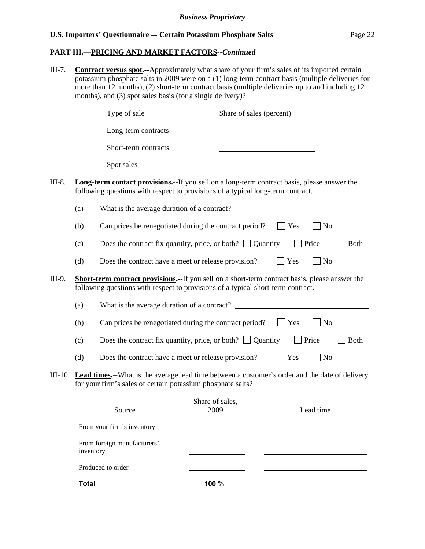#### **PART III.—PRICING AND MARKET FACTORS***--Continued*

III-7. **Contract versus spot.--**Approximately what share of your firm's sales of its imported certain potassium phosphate salts in 2009 were on a (1) long-term contract basis (multiple deliveries for more than 12 months), (2) short-term contract basis (multiple deliveries up to and including 12 months), and (3) spot sales basis (for a single delivery)?

|         |           | Type of sale                                                                                                                                                                               | Share of sales (percent) |             |                             |             |
|---------|-----------|--------------------------------------------------------------------------------------------------------------------------------------------------------------------------------------------|--------------------------|-------------|-----------------------------|-------------|
|         |           | Long-term contracts                                                                                                                                                                        |                          |             |                             |             |
|         |           | Short-term contracts                                                                                                                                                                       |                          |             |                             |             |
|         |           | Spot sales                                                                                                                                                                                 |                          |             |                             |             |
| III-8.  |           | <b>Long-term contact provisions.</b> --If you sell on a long-term contract basis, please answer the<br>following questions with respect to provisions of a typical long-term contract.     |                          |             |                             |             |
|         | (a)       | What is the average duration of a contract?                                                                                                                                                |                          |             |                             |             |
|         | (b)       | Can prices be renegotiated during the contract period?                                                                                                                                     |                          | <b>Yes</b>  | No                          |             |
|         | (c)       | Does the contract fix quantity, price, or both? $\Box$ Quantity                                                                                                                            |                          |             | $\Box$ Price                | <b>Both</b> |
|         | (d)       | Does the contract have a meet or release provision?                                                                                                                                        |                          | Yes         | No                          |             |
| III-9.  |           | <b>Short-term contract provisions.--</b> If you sell on a short-term contract basis, please answer the<br>following questions with respect to provisions of a typical short-term contract. |                          |             |                             |             |
|         | (a)       | What is the average duration of a contract?                                                                                                                                                |                          |             |                             |             |
|         | (b)       | Can prices be renegotiated during the contract period?                                                                                                                                     |                          | $\vert$ Yes | N <sub>o</sub>              |             |
|         | (c)       | Does the contract fix quantity, price, or both? $\Box$ Quantity                                                                                                                            |                          |             | Price                       | <b>Both</b> |
|         | (d)       | Does the contract have a meet or release provision?                                                                                                                                        |                          | Yes         | $\overline{\phantom{a}}$ No |             |
| III-10. |           | Lead times.--What is the average lead time between a customer's order and the date of delivery<br>for your firm's sales of certain potassium phosphate salts?                              |                          |             |                             |             |
|         |           | Source                                                                                                                                                                                     | Share of sales,<br>2009  |             | Lead time                   |             |
|         |           | From your firm's inventory                                                                                                                                                                 |                          |             |                             |             |
|         | inventory | From foreign manufacturers'                                                                                                                                                                |                          |             |                             |             |
|         |           | Produced to order                                                                                                                                                                          |                          |             |                             |             |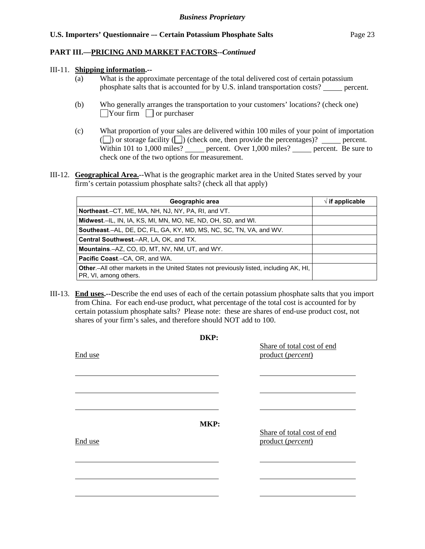#### **PART III.—PRICING AND MARKET FACTORS***--Continued*

#### III-11. **Shipping information.--**

- (a) What is the approximate percentage of the total delivered cost of certain potassium phosphate salts that is accounted for by U.S. inland transportation costs? percent.
- (b) Who generally arranges the transportation to your customers' locations? (check one)  $\Box$ Your firm  $\Box$  or purchaser
- (c) What proportion of your sales are delivered within 100 miles of your point of importation ( $\Box$ ) or storage facility  $\Box$ ) (check one, then provide the percentages)?  $\Box$  percent. Within 101 to 1,000 miles? percent. Over 1,000 miles? percent. Be sure to check one of the two options for measurement.
- III-12. **Geographical Area.**--What is the geographic market area in the United States served by your firm's certain potassium phosphate salts? (check all that apply)

| Geographic area                                                                                                         | $\sqrt{ }$ if applicable |
|-------------------------------------------------------------------------------------------------------------------------|--------------------------|
| Northeast.–CT, ME, MA, NH, NJ, NY, PA, RI, and VT.                                                                      |                          |
| Midwest.-IL, IN, IA, KS, MI, MN, MO, NE, ND, OH, SD, and WI.                                                            |                          |
| <b>Southeast.–AL, DE, DC, FL, GA, KY, MD, MS, NC, SC, TN, VA, and WV.</b>                                               |                          |
| Central Southwest.-AR, LA, OK, and TX.                                                                                  |                          |
| Mountains.-AZ, CO, ID, MT, NV, NM, UT, and WY.                                                                          |                          |
| <b>Pacific Coast.–CA, OR, and WA.</b>                                                                                   |                          |
| <b>Other.</b> —All other markets in the United States not previously listed, including AK, HI,<br>PR, VI, among others. |                          |

III-13. **End uses.--**Describe the end uses of each of the certain potassium phosphate salts that you import from China. For each end-use product, what percentage of the total cost is accounted for by certain potassium phosphate salts? Please note: these are shares of end-use product cost, not shares of your firm's sales, and therefore should NOT add to 100.

|         | DKP: |                                                 |
|---------|------|-------------------------------------------------|
| End use |      | Share of total cost of end<br>product (percent) |
|         |      |                                                 |
|         |      |                                                 |
|         | MKP: |                                                 |
| End use |      | Share of total cost of end<br>product (percent) |
|         |      |                                                 |
|         |      |                                                 |
|         |      |                                                 |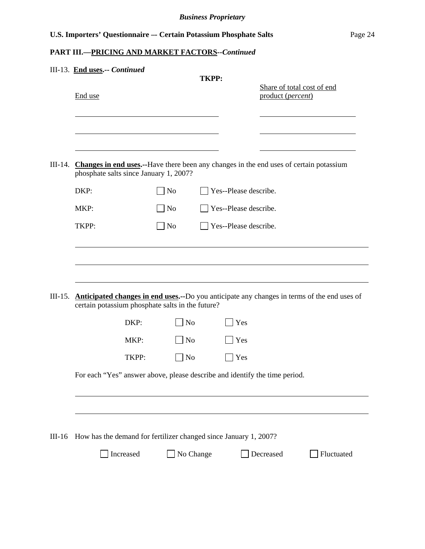# **PART III.—PRICING AND MARKET FACTORS***--Continued*

| III-14.  | End use<br>DKP:<br>MKP:<br>TKPP: |       | phosphate salts since January 1, 2007?<br>No<br>$\Box$ No        | <b>TKPP:</b> | Yes--Please describe.        | Share of total cost of end<br>product (percent)<br>Changes in end uses.--Have there been any changes in the end uses of certain potassium |                                                                                                     |
|----------|----------------------------------|-------|------------------------------------------------------------------|--------------|------------------------------|-------------------------------------------------------------------------------------------------------------------------------------------|-----------------------------------------------------------------------------------------------------|
|          |                                  |       |                                                                  |              |                              |                                                                                                                                           |                                                                                                     |
|          |                                  |       |                                                                  |              |                              |                                                                                                                                           |                                                                                                     |
|          |                                  |       |                                                                  |              |                              |                                                                                                                                           |                                                                                                     |
|          |                                  |       |                                                                  |              |                              |                                                                                                                                           |                                                                                                     |
|          |                                  |       |                                                                  |              | Yes--Please describe.        |                                                                                                                                           |                                                                                                     |
|          |                                  |       | $\Box$ No                                                        |              | $\Box$ Yes--Please describe. |                                                                                                                                           |                                                                                                     |
|          |                                  |       | certain potassium phosphate salts in the future?                 |              |                              |                                                                                                                                           | III-15. Anticipated changes in end uses.--Do you anticipate any changes in terms of the end uses of |
|          |                                  | DKP:  | $\log$                                                           |              | Yes                          |                                                                                                                                           |                                                                                                     |
|          |                                  | MKP:  | $\Box$ No                                                        |              | Yes                          |                                                                                                                                           |                                                                                                     |
|          |                                  | TKPP: | $\blacksquare$ No                                                |              | Yes                          |                                                                                                                                           |                                                                                                     |
|          |                                  |       |                                                                  |              |                              | For each "Yes" answer above, please describe and identify the time period.                                                                |                                                                                                     |
|          |                                  |       |                                                                  |              |                              |                                                                                                                                           |                                                                                                     |
|          |                                  |       | How has the demand for fertilizer changed since January 1, 2007? |              |                              |                                                                                                                                           |                                                                                                     |
| $III-16$ |                                  |       |                                                                  |              |                              |                                                                                                                                           |                                                                                                     |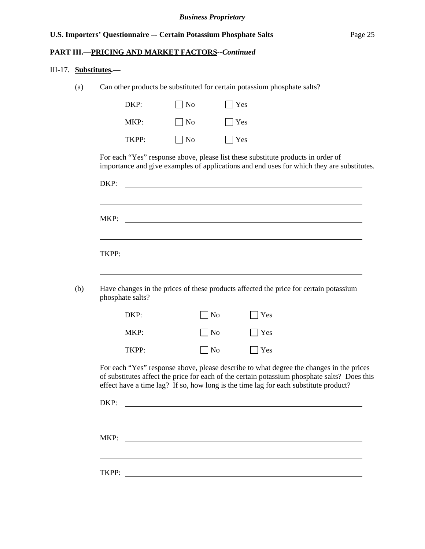#### **PART III.—PRICING AND MARKET FACTORS***--Continued*

#### III-17. **Substitutes.—**

l

(a) Can other products be substituted for certain potassium phosphate salts?

| DKP:  | $\vert$   No      | $ $   Yes  |
|-------|-------------------|------------|
| MKP:  | $\blacksquare$ No | $ $   Yes  |
| TKPP: | $\vert$   No      | $\Box$ Yes |

For each "Yes" response above, please list these substitute products in order of importance and give examples of applications and end uses for which they are substitutes.

|     | MKP:                                                                                                                                                                                                                                                                            |                |                                                                                                                       |  |
|-----|---------------------------------------------------------------------------------------------------------------------------------------------------------------------------------------------------------------------------------------------------------------------------------|----------------|-----------------------------------------------------------------------------------------------------------------------|--|
|     |                                                                                                                                                                                                                                                                                 |                | <u> 1980 - Johann Barnett, fransk politik (d. 1980)</u>                                                               |  |
|     |                                                                                                                                                                                                                                                                                 |                |                                                                                                                       |  |
|     |                                                                                                                                                                                                                                                                                 |                | ,我们也不会有什么。""我们的人,我们也不会有什么?""我们的人,我们也不会有什么?""我们的人,我们也不会有什么?""我们的人,我们也不会有什么?""我们的人                                      |  |
| (b) | Have changes in the prices of these products affected the price for certain potassium<br>phosphate salts?                                                                                                                                                                       |                |                                                                                                                       |  |
|     | DKP:                                                                                                                                                                                                                                                                            | N <sub>o</sub> | $\vert$ Yes                                                                                                           |  |
|     | MKP:                                                                                                                                                                                                                                                                            | N <sub>o</sub> | $\vert$ Yes                                                                                                           |  |
|     | TKPP:                                                                                                                                                                                                                                                                           | $ N_0$         | $\vert$ Yes                                                                                                           |  |
|     | For each "Yes" response above, please describe to what degree the changes in the prices<br>of substitutes affect the price for each of the certain potassium phosphate salts? Does this<br>effect have a time lag? If so, how long is the time lag for each substitute product? |                |                                                                                                                       |  |
|     | DKP:                                                                                                                                                                                                                                                                            |                |                                                                                                                       |  |
|     |                                                                                                                                                                                                                                                                                 |                | ,我们也不会有什么。""我们的人,我们也不会有什么?""我们的人,我们也不会有什么?""我们的人,我们也不会有什么?""我们的人,我们也不会有什么?""我们的人                                      |  |
|     | MKP:                                                                                                                                                                                                                                                                            |                | <u> 1989 - Johann Barbara, martin amerikan basar dan berasal di basar dalam basar dalam basar dalam basar dalam b</u> |  |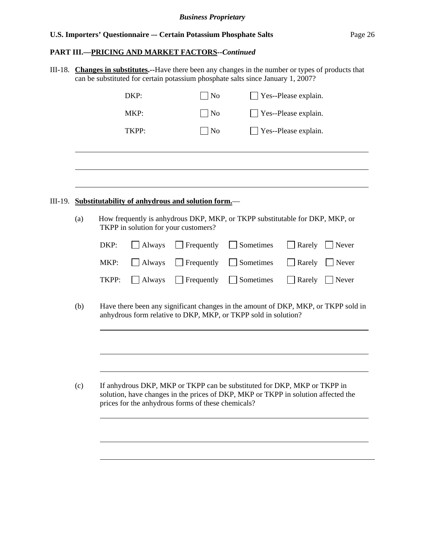# **PART III.—PRICING AND MARKET FACTORS***--Continued*

III-18. **Changes in substitutes.--**Have there been any changes in the number or types of products that can be substituted for certain potassium phosphate salts since January 1, 2007?

|         |     |       | DKP:   | $\sqrt{\phantom{a}}$ No                                                                   |                                                                                                                                                               | Yes--Please explain. |       |
|---------|-----|-------|--------|-------------------------------------------------------------------------------------------|---------------------------------------------------------------------------------------------------------------------------------------------------------------|----------------------|-------|
|         |     |       | MKP:   | $\log$                                                                                    |                                                                                                                                                               | Yes--Please explain. |       |
|         |     |       | TKPP:  | $\rfloor$ No                                                                              |                                                                                                                                                               | Yes--Please explain. |       |
|         |     |       |        |                                                                                           |                                                                                                                                                               |                      |       |
| III-19. |     |       |        |                                                                                           |                                                                                                                                                               |                      |       |
|         | (a) |       |        | Substitutability of anhydrous and solution form.—<br>TKPP in solution for your customers? | How frequently is anhydrous DKP, MKP, or TKPP substitutable for DKP, MKP, or                                                                                  |                      |       |
|         |     | DKP:  | Always | Frequently                                                                                | Sometimes                                                                                                                                                     | Rarely               | Never |
|         |     | MKP:  | Always | Frequently                                                                                | Sometimes                                                                                                                                                     | Rarely               | Never |
|         |     | TKPP: | Always | Frequently                                                                                | Sometimes                                                                                                                                                     | Rarely               | Never |
|         | (b) |       |        |                                                                                           | Have there been any significant changes in the amount of DKP, MKP, or TKPP sold in<br>anhydrous form relative to DKP, MKP, or TKPP sold in solution?          |                      |       |
|         |     |       |        |                                                                                           |                                                                                                                                                               |                      |       |
|         |     |       |        |                                                                                           |                                                                                                                                                               |                      |       |
|         | (c) |       |        | prices for the anhydrous forms of these chemicals?                                        | If anhydrous DKP, MKP or TKPP can be substituted for DKP, MKP or TKPP in<br>solution, have changes in the prices of DKP, MKP or TKPP in solution affected the |                      |       |
|         |     |       |        |                                                                                           |                                                                                                                                                               |                      |       |
|         |     |       |        |                                                                                           |                                                                                                                                                               |                      |       |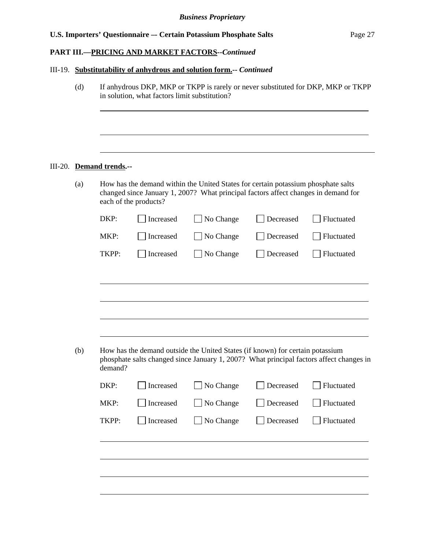#### **PART III.—PRICING AND MARKET FACTORS***--Continued*

#### III-19. **Substitutability of anhydrous and solution form.--** *Continued*

(d) If anhydrous DKP, MKP or TKPP is rarely or never substituted for DKP, MKP or TKPP in solution, what factors limit substitution?  $\overline{a}$ 

#### III-20. **Demand trends.--**

(a) How has the demand within the United States for certain potassium phosphate salts changed since January 1, 2007? What principal factors affect changes in demand for each of the products?

| DKP:  | Increased | $\Box$ No Change    | $\Box$ Decreased | $\Box$ Fluctuated |
|-------|-----------|---------------------|------------------|-------------------|
| MKP:  |           | Increased No Change | Decreased        | Fluctuated        |
| TKPP: |           | Increased No Change | $\Box$ Decreased | Fluctuated        |
|       |           |                     |                  |                   |

(b) How has the demand outside the United States (if known) for certain potassium phosphate salts changed since January 1, 2007? What principal factors affect changes in demand?

| DKP:  | Increased | $\Box$ No Change |           | $\Box$ Decreased $\Box$ Fluctuated |
|-------|-----------|------------------|-----------|------------------------------------|
| MKP:  | Increased | $\Box$ No Change |           | Decreased Fluctuated               |
| TKPP: | Increased | $\Box$ No Change | Decreased | Fluctuated                         |
|       |           |                  |           |                                    |
|       |           |                  |           |                                    |
|       |           |                  |           |                                    |
|       |           |                  |           |                                    |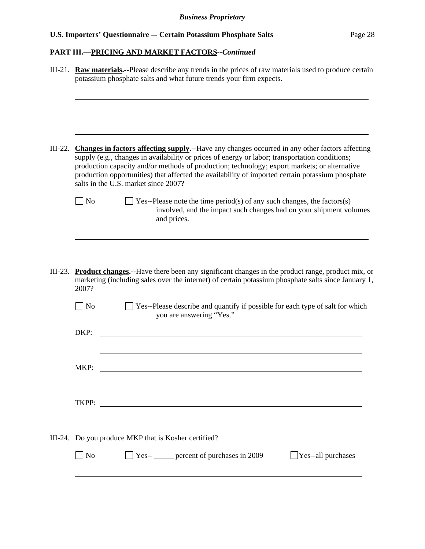# **PART III.—PRICING AND MARKET FACTORS***--Continued*

|                   | III-21. <b>Raw materials.</b> --Please describe any trends in the prices of raw materials used to produce certain<br>potassium phosphate salts and what future trends your firm expects.                                                                                                                                                                                                                                                             |
|-------------------|------------------------------------------------------------------------------------------------------------------------------------------------------------------------------------------------------------------------------------------------------------------------------------------------------------------------------------------------------------------------------------------------------------------------------------------------------|
|                   | III-22. Changes in factors affecting supply.--Have any changes occurred in any other factors affecting<br>supply (e.g., changes in availability or prices of energy or labor; transportation conditions;<br>production capacity and/or methods of production; technology; export markets; or alternative<br>production opportunities) that affected the availability of imported certain potassium phosphate<br>salts in the U.S. market since 2007? |
| $\vert$ No        | $\Box$ Yes--Please note the time period(s) of any such changes, the factors(s)<br>involved, and the impact such changes had on your shipment volumes<br>and prices.                                                                                                                                                                                                                                                                                  |
| 2007?             | III-23. Product changes.--Have there been any significant changes in the product range, product mix, or<br>marketing (including sales over the internet) of certain potassium phosphate salts since January 1,                                                                                                                                                                                                                                       |
| $\Box$ No<br>DKP: | Yes--Please describe and quantify if possible for each type of salt for which<br>you are answering "Yes."                                                                                                                                                                                                                                                                                                                                            |
| MKP:              |                                                                                                                                                                                                                                                                                                                                                                                                                                                      |
|                   | III-24. Do you produce MKP that is Kosher certified?                                                                                                                                                                                                                                                                                                                                                                                                 |
| $\Box$ No         | $\Box$ Yes- $\Box$ percent of purchases in 2009<br>Yes--all purchases                                                                                                                                                                                                                                                                                                                                                                                |
|                   |                                                                                                                                                                                                                                                                                                                                                                                                                                                      |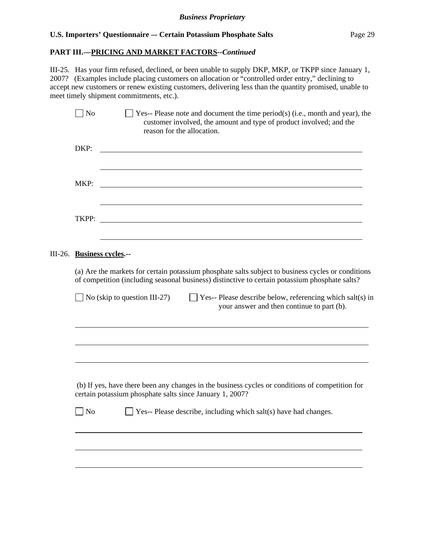#### **PART III.—PRICING AND MARKET FACTORS***--Continued*

III-25. Has your firm refused, declined, or been unable to supply DKP, MKP, or TKPP since January 1, 2007? (Examples include placing customers on allocation or "controlled order entry," declining to accept new customers or renew existing customers, delivering less than the quantity promised, unable to meet timely shipment commitments, etc.).

|         | N <sub>o</sub> | Yes-- Please note and document the time period(s) (i.e., month and year), the<br>customer involved, the amount and type of product involved; and the<br>reason for the allocation.                   |
|---------|----------------|------------------------------------------------------------------------------------------------------------------------------------------------------------------------------------------------------|
|         | DKP:           |                                                                                                                                                                                                      |
|         | MKP:           |                                                                                                                                                                                                      |
|         | TKPP:          |                                                                                                                                                                                                      |
| III-26. |                | <b>Business cycles.--</b>                                                                                                                                                                            |
|         |                | (a) Are the markets for certain potassium phosphate salts subject to business cycles or conditions<br>of competition (including seasonal business) distinctive to certain potassium phosphate salts? |
|         |                | $\Box$ No (skip to question III-27)<br>$\Box$ Yes-- Please describe below, referencing which salt(s) in<br>your answer and then continue to part (b).                                                |
|         |                |                                                                                                                                                                                                      |
|         |                | (b) If yes, have there been any changes in the business cycles or conditions of competition for                                                                                                      |
|         |                | certain potassium phosphate salts since January 1, 2007?                                                                                                                                             |
|         | $\Box$ No      | $\Box$ Yes-- Please describe, including which salt(s) have had changes.                                                                                                                              |
|         |                |                                                                                                                                                                                                      |
|         |                |                                                                                                                                                                                                      |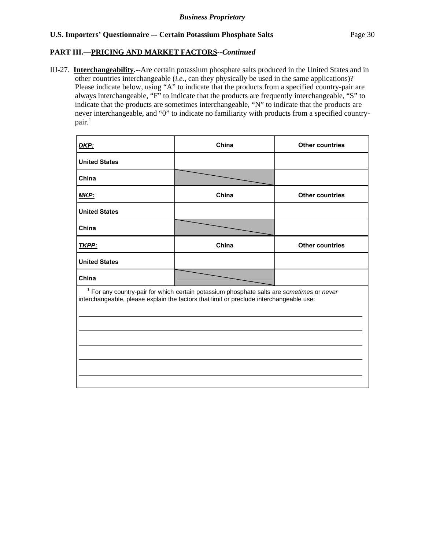#### **PART III.—PRICING AND MARKET FACTORS***--Continued*

III-27. **Interchangeability.**--Are certain potassium phosphate salts produced in the United States and in other countries interchangeable (*i.e.*, can they physically be used in the same applications)? Please indicate below, using "A" to indicate that the products from a specified country-pair are always interchangeable, "F" to indicate that the products are frequently interchangeable, "S" to indicate that the products are sometimes interchangeable, "N" to indicate that the products are never interchangeable, and "0" to indicate no familiarity with products from a specified countrypair.<sup>1</sup>

| DKP:                 | China                                                                                                                                                                                  | <b>Other countries</b> |
|----------------------|----------------------------------------------------------------------------------------------------------------------------------------------------------------------------------------|------------------------|
| <b>United States</b> |                                                                                                                                                                                        |                        |
| China                |                                                                                                                                                                                        |                        |
| MKP:                 | China                                                                                                                                                                                  | <b>Other countries</b> |
| <b>United States</b> |                                                                                                                                                                                        |                        |
| China                |                                                                                                                                                                                        |                        |
| TKPP:                | China                                                                                                                                                                                  | <b>Other countries</b> |
| <b>United States</b> |                                                                                                                                                                                        |                        |
| China                |                                                                                                                                                                                        |                        |
|                      | $1$ For any country-pair for which certain potassium phosphate salts are sometimes or never<br>interchangeable, please explain the factors that limit or preclude interchangeable use: |                        |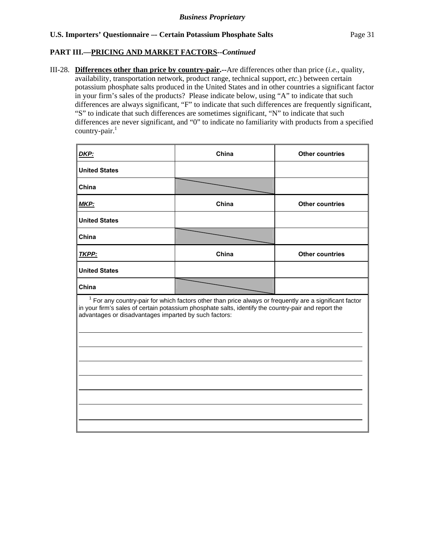#### **PART III.—PRICING AND MARKET FACTORS***--Continued*

 $\overline{a}$ 

 $\overline{a}$ 

 $\overline{a}$ 

III-28. **Differences other than price by country-pair.--**Are differences other than price (*i.e.*, quality, availability, transportation network, product range, technical support, *etc.*) between certain potassium phosphate salts produced in the United States and in other countries a significant factor in your firm's sales of the products? Please indicate below, using "A" to indicate that such differences are always significant, "F" to indicate that such differences are frequently significant, "S" to indicate that such differences are sometimes significant, "N" to indicate that such differences are never significant, and "0" to indicate no familiarity with products from a specified country-pair. $<sup>1</sup>$ </sup>

| <u>DKP:</u>                                           | China                                                                                                                                                                                                            | <b>Other countries</b> |
|-------------------------------------------------------|------------------------------------------------------------------------------------------------------------------------------------------------------------------------------------------------------------------|------------------------|
| <b>United States</b>                                  |                                                                                                                                                                                                                  |                        |
| China                                                 |                                                                                                                                                                                                                  |                        |
| <u>MKP:</u>                                           | China                                                                                                                                                                                                            | <b>Other countries</b> |
| <b>United States</b>                                  |                                                                                                                                                                                                                  |                        |
| China                                                 |                                                                                                                                                                                                                  |                        |
| <b>TKPP:</b>                                          | China                                                                                                                                                                                                            | <b>Other countries</b> |
| <b>United States</b>                                  |                                                                                                                                                                                                                  |                        |
| China                                                 |                                                                                                                                                                                                                  |                        |
| advantages or disadvantages imparted by such factors: | $1$ For any country-pair for which factors other than price always or frequently are a significant factor<br>in your firm's sales of certain potassium phosphate salts, identify the country-pair and report the |                        |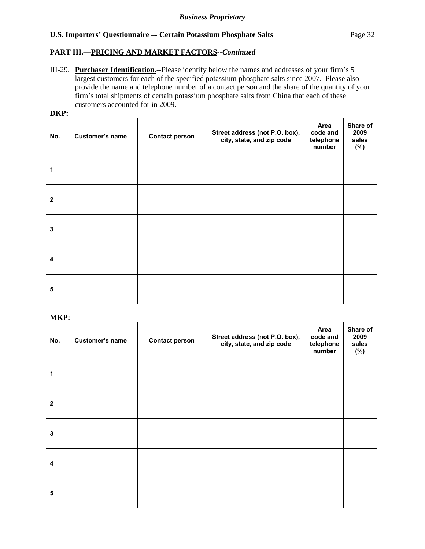# **PART III.—PRICING AND MARKET FACTORS***--Continued*

III-29. **Purchaser Identification.**--Please identify below the names and addresses of your firm's 5 largest customers for each of the specified potassium phosphate salts since 2007. Please also provide the name and telephone number of a contact person and the share of the quantity of your firm's total shipments of certain potassium phosphate salts from China that each of these customers accounted for in 2009.

|--|

| No.          | Customer's name | <b>Contact person</b> | Street address (not P.O. box),<br>city, state, and zip code | Area<br>code and<br>telephone<br>number | Share of<br>2009<br>sales<br>(%) |
|--------------|-----------------|-----------------------|-------------------------------------------------------------|-----------------------------------------|----------------------------------|
| 1            |                 |                       |                                                             |                                         |                                  |
| $\mathbf{2}$ |                 |                       |                                                             |                                         |                                  |
| $\mathbf 3$  |                 |                       |                                                             |                                         |                                  |
| 4            |                 |                       |                                                             |                                         |                                  |
| 5            |                 |                       |                                                             |                                         |                                  |

# **MKP:**

| No.                     | Customer's name | <b>Contact person</b> | Street address (not P.O. box),<br>city, state, and zip code | Area<br>code and<br>telephone<br>number | Share of<br>2009<br>sales<br>(%) |
|-------------------------|-----------------|-----------------------|-------------------------------------------------------------|-----------------------------------------|----------------------------------|
| 1                       |                 |                       |                                                             |                                         |                                  |
| $\mathbf{2}$            |                 |                       |                                                             |                                         |                                  |
| 3                       |                 |                       |                                                             |                                         |                                  |
| $\overline{\mathbf{4}}$ |                 |                       |                                                             |                                         |                                  |
| 5                       |                 |                       |                                                             |                                         |                                  |